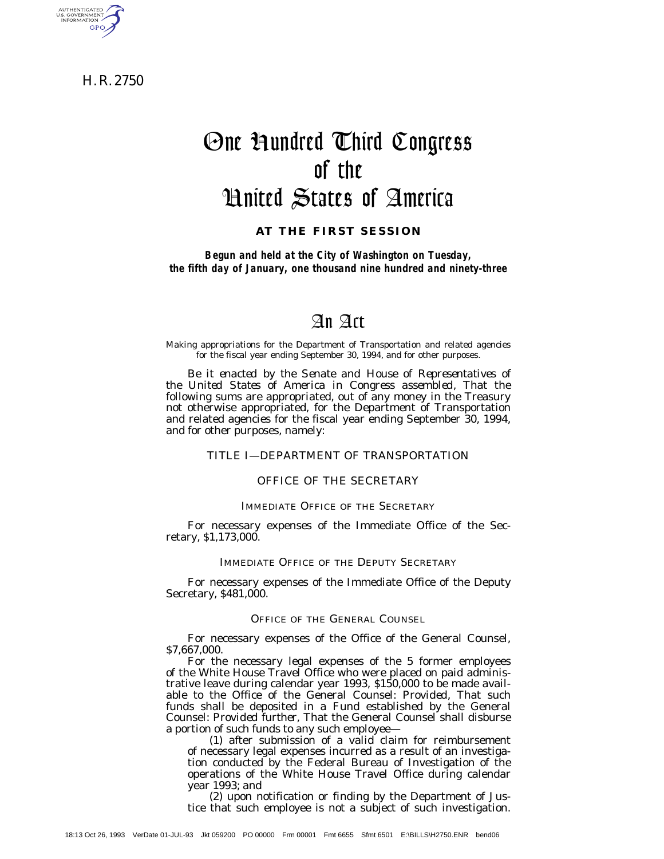H. R. 2750

AUTHENTICATED<br>U.S. GOVERNMENT<br>INFORMATION **GPO** 

# One Hundred Third Congress of the United States of America

**AT THE FIRST SESSION**

*Begun and held at the City of Washington on Tuesday, the fifth day of January, one thousand nine hundred and ninety-three*

## An Act

Making appropriations for the Department of Transportation and related agencies for the fiscal year ending September 30, 1994, and for other purposes.

*Be it enacted by the Senate and House of Representatives of the United States of America in Congress assembled,* That the following sums are appropriated, out of any money in the Treasury not otherwise appropriated, for the Department of Transportation and related agencies for the fiscal year ending September 30, 1994, and for other purposes, namely:

## TITLE I—DEPARTMENT OF TRANSPORTATION

#### OFFICE OF THE SECRETARY

## IMMEDIATE OFFICE OF THE SECRETARY

For necessary expenses of the Immediate Office of the Secretary, \$1,173,000.

#### IMMEDIATE OFFICE OF THE DEPUTY SECRETARY

For necessary expenses of the Immediate Office of the Deputy Secretary, \$481,000.

## OFFICE OF THE GENERAL COUNSEL

For necessary expenses of the Office of the General Counsel, \$7,667,000.

For the necessary legal expenses of the 5 former employees of the White House Travel Office who were placed on paid administrative leave during calendar year 1993, \$150,000 to be made available to the Office of the General Counsel: *Provided,* That such funds shall be deposited in a Fund established by the General Counsel: *Provided further,* That the General Counsel shall disburse a portion of such funds to any such employee—

(1) after submission of a valid claim for reimbursement of necessary legal expenses incurred as a result of an investigation conducted by the Federal Bureau of Investigation of the operations of the White House Travel Office during calendar year 1993; and

(2) upon notification or finding by the Department of Justice that such employee is not a subject of such investigation.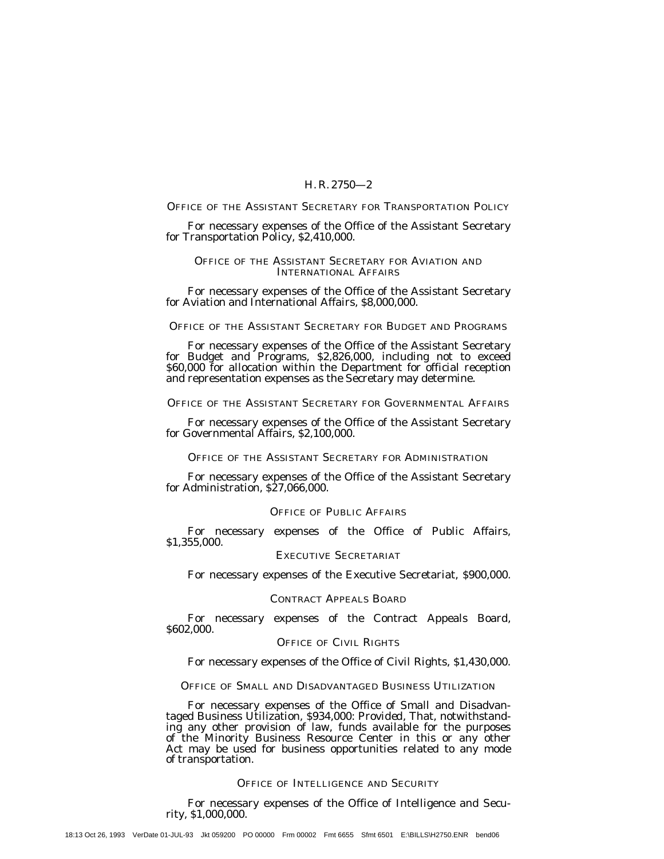#### OFFICE OF THE ASSISTANT SECRETARY FOR TRANSPORTATION POLICY

For necessary expenses of the Office of the Assistant Secretary for Transportation Policy, \$2,410,000.

## OFFICE OF THE ASSISTANT SECRETARY FOR AVIATION AND INTERNATIONAL AFFAIRS

For necessary expenses of the Office of the Assistant Secretary for Aviation and International Affairs, \$8,000,000.

#### OFFICE OF THE ASSISTANT SECRETARY FOR BUDGET AND PROGRAMS

For necessary expenses of the Office of the Assistant Secretary for Budget and Programs, \$2,826,000, including not to exceed \$60,000 for allocation within the Department for official reception and representation expenses as the Secretary may determine.

## OFFICE OF THE ASSISTANT SECRETARY FOR GOVERNMENTAL AFFAIRS

For necessary expenses of the Office of the Assistant Secretary for Governmental Affairs, \$2,100,000.

## OFFICE OF THE ASSISTANT SECRETARY FOR ADMINISTRATION

For necessary expenses of the Office of the Assistant Secretary for Administration, \$27,066,000.

## OFFICE OF PUBLIC AFFAIRS

For necessary expenses of the Office of Public Affairs, \$1,355,000.

## EXECUTIVE SECRETARIAT

For necessary expenses of the Executive Secretariat, \$900,000.

#### CONTRACT APPEALS BOARD

For necessary expenses of the Contract Appeals Board, \$602,000.

## OFFICE OF CIVIL RIGHTS

For necessary expenses of the Office of Civil Rights, \$1,430,000.

## OFFICE OF SMALL AND DISADVANTAGED BUSINESS UTILIZATION

For necessary expenses of the Office of Small and Disadvantaged Business Utilization, \$934,000: *Provided,* That, notwithstanding any other provision of law, funds available for the purposes of the Minority Business Resource Center in this or any other Act may be used for business opportunities related to any mode of transportation.

#### OFFICE OF INTELLIGENCE AND SECURITY

For necessary expenses of the Office of Intelligence and Security, \$1,000,000.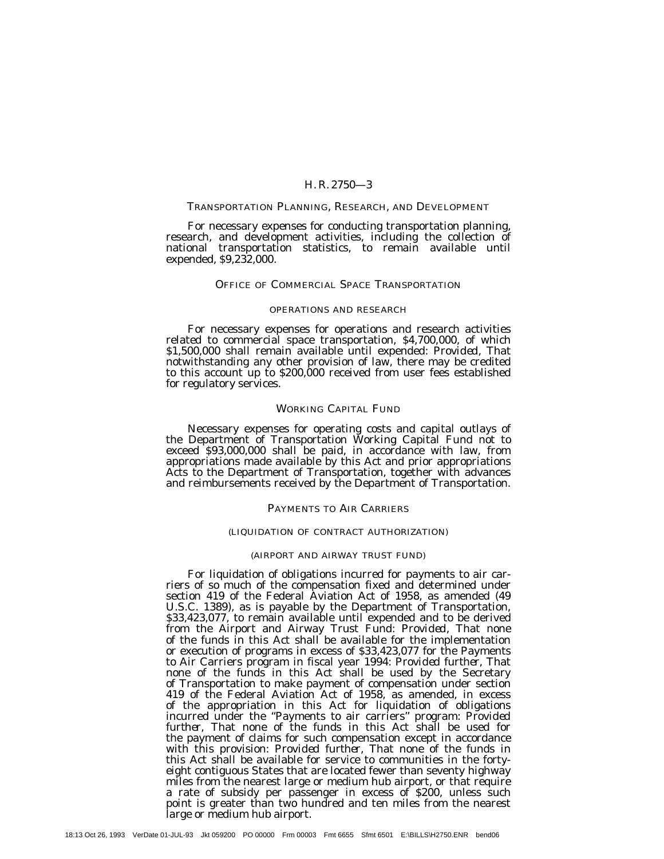#### TRANSPORTATION PLANNING, RESEARCH, AND DEVELOPMENT

For necessary expenses for conducting transportation planning, research, and development activities, including the collection of national transportation statistics, to remain available until expended, \$9,232,000.

#### OFFICE OF COMMERCIAL SPACE TRANSPORTATION

#### OPERATIONS AND RESEARCH

For necessary expenses for operations and research activities related to commercial space transportation, \$4,700,000, of which \$1,500,000 shall remain available until expended: *Provided,* That notwithstanding any other provision of law, there may be credited to this account up to \$200,000 received from user fees established for regulatory services.

#### WORKING CAPITAL FUND

Necessary expenses for operating costs and capital outlays of the Department of Transportation Working Capital Fund not to exceed \$93,000,000 shall be paid, in accordance with law, from appropriations made available by this Act and prior appropriations Acts to the Department of Transportation, together with advances and reimbursements received by the Department of Transportation.

#### PAYMENTS TO AIR CARRIERS

#### (LIQUIDATION OF CONTRACT AUTHORIZATION)

#### (AIRPORT AND AIRWAY TRUST FUND)

For liquidation of obligations incurred for payments to air carriers of so much of the compensation fixed and determined under section 419 of the Federal Aviation Act of 1958, as amended (49 U.S.C. 1389), as is payable by the Department of Transportation, \$33,423,077, to remain available until expended and to be derived from the Airport and Airway Trust Fund: *Provided,* That none of the funds in this Act shall be available for the implementation or execution of programs in excess of \$33,423,077 for the Payments to Air Carriers program in fiscal year 1994: *Provided further,* That none of the funds in this Act shall be used by the Secretary of Transportation to make payment of compensation under section 419 of the Federal Aviation Act of 1958, as amended, in excess of the appropriation in this Act for liquidation of obligations incurred under the ''Payments to air carriers'' program: *Provided further,* That none of the funds in this Act shall be used for the payment of claims for such compensation except in accordance with this provision: *Provided further,* That none of the funds in this Act shall be available for service to communities in the fortyeight contiguous States that are located fewer than seventy highway miles from the nearest large or medium hub airport, or that require a rate of subsidy per passenger in excess of \$200, unless such point is greater than two hundred and ten miles from the nearest large or medium hub airport.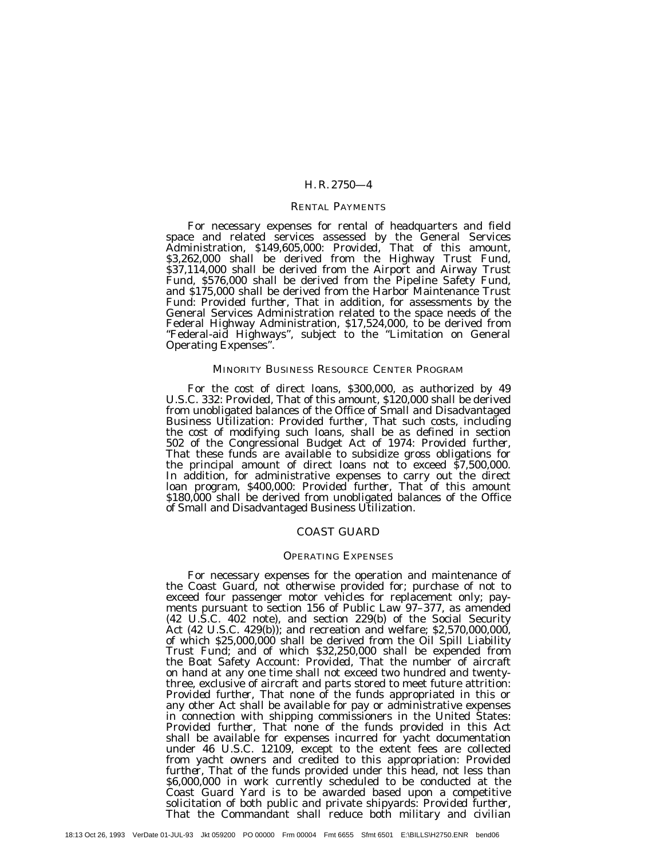## RENTAL PAYMENTS

For necessary expenses for rental of headquarters and field space and related services assessed by the General Services Administration, \$149,605,000: *Provided,* That of this amount, \$3,262,000 shall be derived from the Highway Trust Fund, \$37,114,000 shall be derived from the Airport and Airway Trust Fund, \$576,000 shall be derived from the Pipeline Safety Fund, and \$175,000 shall be derived from the Harbor Maintenance Trust Fund: *Provided further,* That in addition, for assessments by the General Services Administration related to the space needs of the Federal Highway Administration, \$17,524,000, to be derived from "Federal-aid Highways", subject to the "Limitation on General Operating Expenses''.

## MINORITY BUSINESS RESOURCE CENTER PROGRAM

For the cost of direct loans, \$300,000, as authorized by 49 U.S.C. 332: *Provided,* That of this amount, \$120,000 shall be derived from unobligated balances of the Office of Small and Disadvantaged Business Utilization: *Provided further,* That such costs, including the cost of modifying such loans, shall be as defined in section 502 of the Congressional Budget Act of 1974: *Provided further,* That these funds are available to subsidize gross obligations for the principal amount of direct loans not to exceed \$7,500,000. In addition, for administrative expenses to carry out the direct loan program, \$400,000: *Provided further,* That of this amount \$180,000 shall be derived from unobligated balances of the Office of Small and Disadvantaged Business Utilization.

#### COAST GUARD

#### OPERATING EXPENSES

For necessary expenses for the operation and maintenance of the Coast Guard, not otherwise provided for; purchase of not to exceed four passenger motor vehicles for replacement only; payments pursuant to section 156 of Public Law 97-377, as amended (42 U.S.C. 402 note), and section 229(b) of the Social Security Act (42 U.S.C. 429(b)); and recreation and welfare; \$2,570,000,000, of which \$25,000,000 shall be derived from the Oil Spill Liability Trust Fund; and of which \$32,250,000 shall be expended from the Boat Safety Account: *Provided,* That the number of aircraft on hand at any one time shall not exceed two hundred and twentythree, exclusive of aircraft and parts stored to meet future attrition: *Provided further,* That none of the funds appropriated in this or any other Act shall be available for pay or administrative expenses in connection with shipping commissioners in the United States: *Provided further*, That none of the funds provided in this Act shall be available for expenses incurred for yacht documentation under 46 U.S.C. 12109, except to the extent fees are collected from yacht owners and credited to this appropriation: *Provided further,* That of the funds provided under this head, not less than \$6,000,000 in work currently scheduled to be conducted at the Coast Guard Yard is to be awarded based upon a competitive solicitation of both public and private shipyards: *Provided further,* That the Commandant shall reduce both military and civilian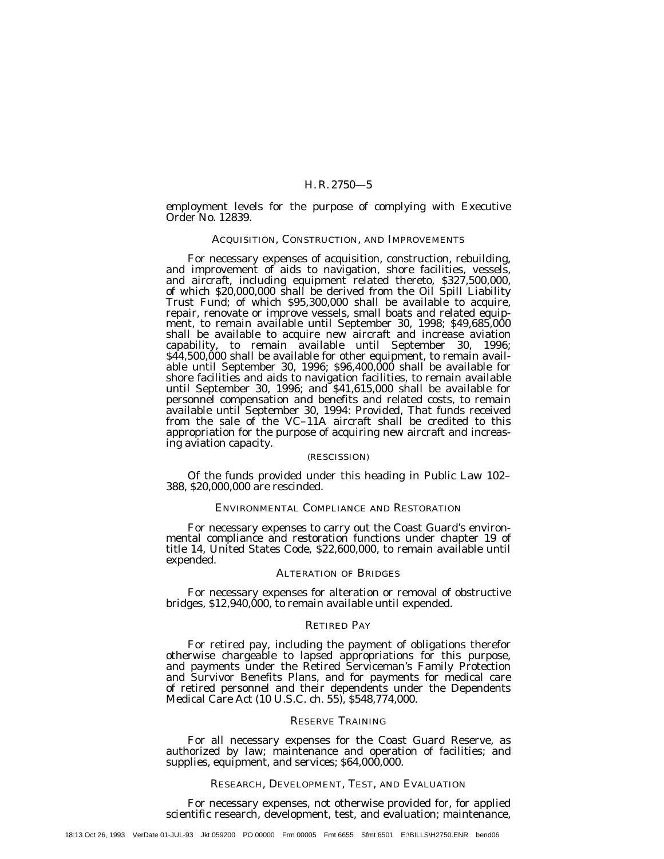employment levels for the purpose of complying with Executive Order No. 12839.

#### ACQUISITION, CONSTRUCTION, AND IMPROVEMENTS

For necessary expenses of acquisition, construction, rebuilding, and improvement of aids to navigation, shore facilities, vessels, and aircraft, including equipment related thereto, \$327,500,000, of which \$20,000,000 shall be derived from the Oil Spill Liability Trust Fund; of which \$95,300,000 shall be available to acquire, repair, renovate or improve vessels, small boats and related equipment, to remain available until September 30, 1998; \$49,685,000 shall be available to acquire new aircraft and increase aviation capability, to remain available until September 30, 1996; \$44,500,000 shall be available for other equipment, to remain available until September 30, 1996; \$96,400,000 shall be available for shore facilities and aids to navigation facilities, to remain available until September 30, 1996; and \$41,615,000 shall be available for personnel compensation and benefits and related costs, to remain available until September 30, 1994: *Provided,* That funds received from the sale of the VC–11A aircraft shall be credited to this appropriation for the purpose of acquiring new aircraft and increasing aviation capacity.

#### (RESCISSION)

Of the funds provided under this heading in Public Law 102– 388, \$20,000,000 are rescinded.

## ENVIRONMENTAL COMPLIANCE AND RESTORATION

For necessary expenses to carry out the Coast Guard's environmental compliance and restoration functions under chapter 19 of title 14, United States Code, \$22,600,000, to remain available until expended.

#### ALTERATION OF BRIDGES

For necessary expenses for alteration or removal of obstructive bridges, \$12,940,000, to remain available until expended.

## RETIRED PAY

For retired pay, including the payment of obligations therefor otherwise chargeable to lapsed appropriations for this purpose, and payments under the Retired Serviceman's Family Protection and Survivor Benefits Plans, and for payments for medical care of retired personnel and their dependents under the Dependents Medical Care Act (10 U.S.C. ch. 55), \$548,774,000.

#### RESERVE TRAINING

For all necessary expenses for the Coast Guard Reserve, as authorized by law; maintenance and operation of facilities; and supplies, equipment, and services;  $$64,000,000$ .

#### RESEARCH, DEVELOPMENT, TEST, AND EVALUATION

For necessary expenses, not otherwise provided for, for applied scientific research, development, test, and evaluation; maintenance,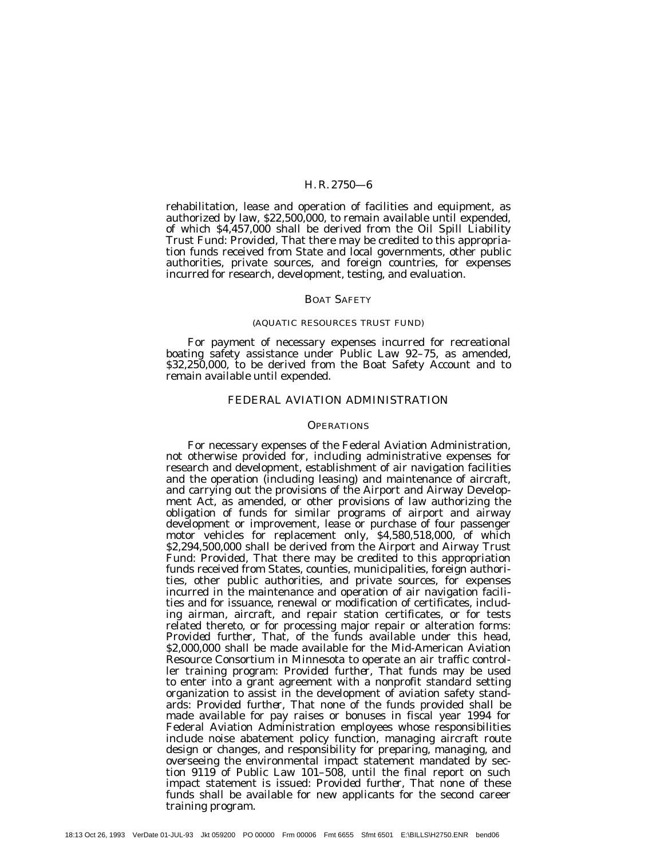rehabilitation, lease and operation of facilities and equipment, as authorized by law, \$22,500,000, to remain available until expended, of which \$4,457,000 shall be derived from the Oil Spill Liability Trust Fund: *Provided,* That there may be credited to this appropriation funds received from State and local governments, other public authorities, private sources, and foreign countries, for expenses incurred for research, development, testing, and evaluation.

#### BOAT SAFETY

#### (AQUATIC RESOURCES TRUST FUND)

For payment of necessary expenses incurred for recreational boating safety assistance under Public Law 92–75, as amended, \$32,250,000, to be derived from the Boat Safety Account and to remain available until expended.

#### FEDERAL AVIATION ADMINISTRATION

#### **OPERATIONS**

For necessary expenses of the Federal Aviation Administration, not otherwise provided for, including administrative expenses for research and development, establishment of air navigation facilities and the operation (including leasing) and maintenance of aircraft, and carrying out the provisions of the Airport and Airway Development Act, as amended, or other provisions of law authorizing the obligation of funds for similar programs of airport and airway development or improvement, lease or purchase of four passenger motor vehicles for replacement only, \$4,580,518,000, of which \$2,294,500,000 shall be derived from the Airport and Airway Trust Fund: *Provided,* That there may be credited to this appropriation funds received from States, counties, municipalities, foreign authorities, other public authorities, and private sources, for expenses incurred in the maintenance and operation of air navigation facilities and for issuance, renewal or modification of certificates, including airman, aircraft, and repair station certificates, or for tests related thereto, or for processing major repair or alteration forms: *Provided further,* That, of the funds available under this head, \$2,000,000 shall be made available for the Mid-American Aviation Resource Consortium in Minnesota to operate an air traffic controller training program: *Provided further,* That funds may be used to enter into a grant agreement with a nonprofit standard setting organization to assist in the development of aviation safety standards: *Provided further,* That none of the funds provided shall be made available for pay raises or bonuses in fiscal year 1994 for Federal Aviation Administration employees whose responsibilities include noise abatement policy function, managing aircraft route design or changes, and responsibility for preparing, managing, and overseeing the environmental impact statement mandated by section 9119 of Public Law 101–508, until the final report on such impact statement is issued: *Provided further,* That none of these funds shall be available for new applicants for the second career training program.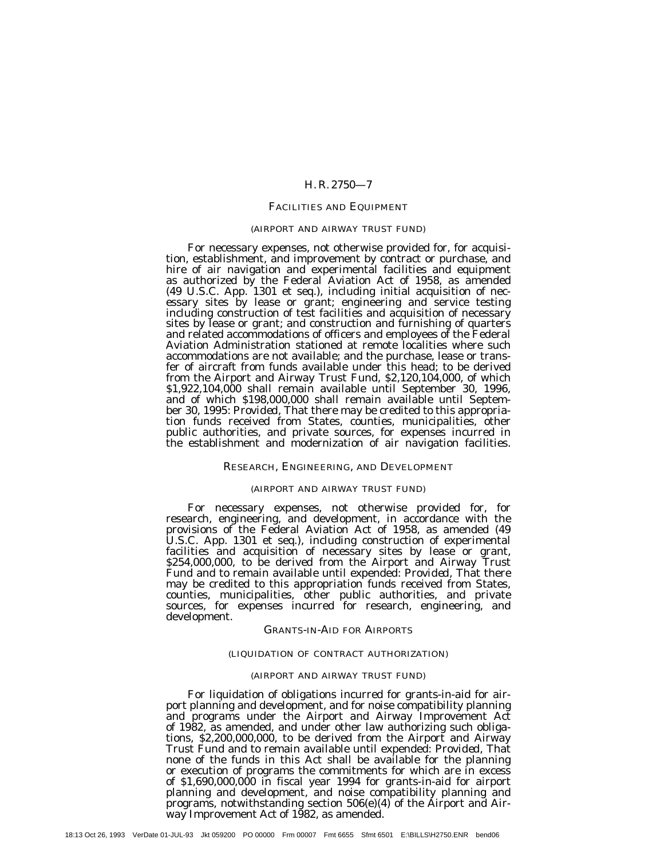#### FACILITIES AND EQUIPMENT

#### (AIRPORT AND AIRWAY TRUST FUND)

For necessary expenses, not otherwise provided for, for acquisition, establishment, and improvement by contract or purchase, and hire of air navigation and experimental facilities and equipment as authorized by the Federal Aviation Act of 1958, as amended (49 U.S.C. App. 1301 et seq.), including initial acquisition of necessary sites by lease or grant; engineering and service testing including construction of test facilities and acquisition of necessary sites by lease or grant; and construction and furnishing of quarters and related accommodations of officers and employees of the Federal Aviation Administration stationed at remote localities where such accommodations are not available; and the purchase, lease or transfer of aircraft from funds available under this head; to be derived from the Airport and Airway Trust Fund, \$2,120,104,000, of which \$1,922,104,000 shall remain available until September 30, 1996, and of which \$198,000,000 shall remain available until September 30, 1995: *Provided,* That there may be credited to this appropriation funds received from States, counties, municipalities, other public authorities, and private sources, for expenses incurred in the establishment and modernization of air navigation facilities.

#### RESEARCH, ENGINEERING, AND DEVELOPMENT

#### (AIRPORT AND AIRWAY TRUST FUND)

For necessary expenses, not otherwise provided for, for research, engineering, and development, in accordance with the provisions of the Federal Aviation Act of 1958, as amended (49 U.S.C. App. 1301 et seq.), including construction of experimental facilities and acquisition of necessary sites by lease or grant, \$254,000,000, to be derived from the Airport and Airway Trust Fund and to remain available until expended: *Provided,* That there may be credited to this appropriation funds received from States, counties, municipalities, other public authorities, and private sources, for expenses incurred for research, engineering, and development.

#### GRANTS-IN-AID FOR AIRPORTS

#### (LIQUIDATION OF CONTRACT AUTHORIZATION)

#### (AIRPORT AND AIRWAY TRUST FUND)

For liquidation of obligations incurred for grants-in-aid for airport planning and development, and for noise compatibility planning and programs under the Airport and Airway Improvement Act of 1982, as amended, and under other law authorizing such obligations, \$2,200,000,000, to be derived from the Airport and Airway Trust Fund and to remain available until expended: *Provided,* That none of the funds in this Act shall be available for the planning or execution of programs the commitments for which are in excess of \$1,690,000,000 in fiscal year 1994 for grants-in-aid for airport planning and development, and noise compatibility planning and programs, notwithstanding section 506(e)(4) of the Airport and Airway Improvement Act of 1982, as amended.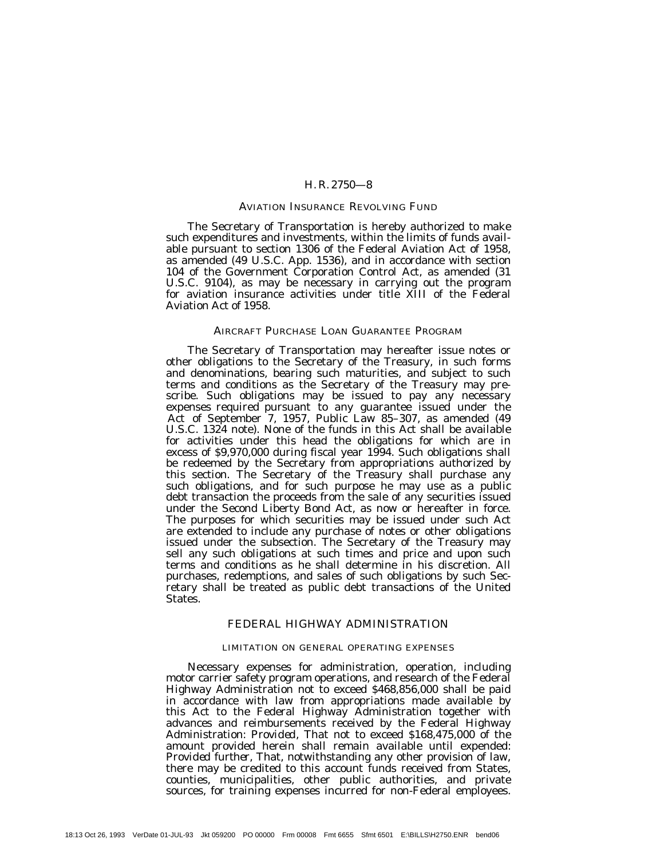#### AVIATION INSURANCE REVOLVING FUND

The Secretary of Transportation is hereby authorized to make such expenditures and investments, within the limits of funds available pursuant to section 1306 of the Federal Aviation Act of 1958, as amended (49 U.S.C. App. 1536), and in accordance with section 104 of the Government Corporation Control Act, as amended (31 U.S.C. 9104), as may be necessary in carrying out the program for aviation insurance activities under title XIII of the Federal Aviation Act of 1958.

## AIRCRAFT PURCHASE LOAN GUARANTEE PROGRAM

The Secretary of Transportation may hereafter issue notes or other obligations to the Secretary of the Treasury, in such forms and denominations, bearing such maturities, and subject to such terms and conditions as the Secretary of the Treasury may prescribe. Such obligations may be issued to pay any necessary expenses required pursuant to any guarantee issued under the Act of September 7, 1957, Public Law 85–307, as amended (49 U.S.C. 1324 note). None of the funds in this Act shall be available for activities under this head the obligations for which are in excess of \$9,970,000 during fiscal year 1994. Such obligations shall be redeemed by the Secretary from appropriations authorized by this section. The Secretary of the Treasury shall purchase any such obligations, and for such purpose he may use as a public debt transaction the proceeds from the sale of any securities issued under the Second Liberty Bond Act, as now or hereafter in force. The purposes for which securities may be issued under such Act are extended to include any purchase of notes or other obligations issued under the subsection. The Secretary of the Treasury may sell any such obligations at such times and price and upon such terms and conditions as he shall determine in his discretion. All purchases, redemptions, and sales of such obligations by such Secretary shall be treated as public debt transactions of the United States.

## FEDERAL HIGHWAY ADMINISTRATION

#### LIMITATION ON GENERAL OPERATING EXPENSES

Necessary expenses for administration, operation, including motor carrier safety program operations, and research of the Federal Highway Administration not to exceed \$468,856,000 shall be paid in accordance with law from appropriations made available by this Act to the Federal Highway Administration together with advances and reimbursements received by the Federal Highway Administration: *Provided,* That not to exceed \$168,475,000 of the amount provided herein shall remain available until expended: *Provided further,* That, notwithstanding any other provision of law, there may be credited to this account funds received from States, counties, municipalities, other public authorities, and private sources, for training expenses incurred for non-Federal employees.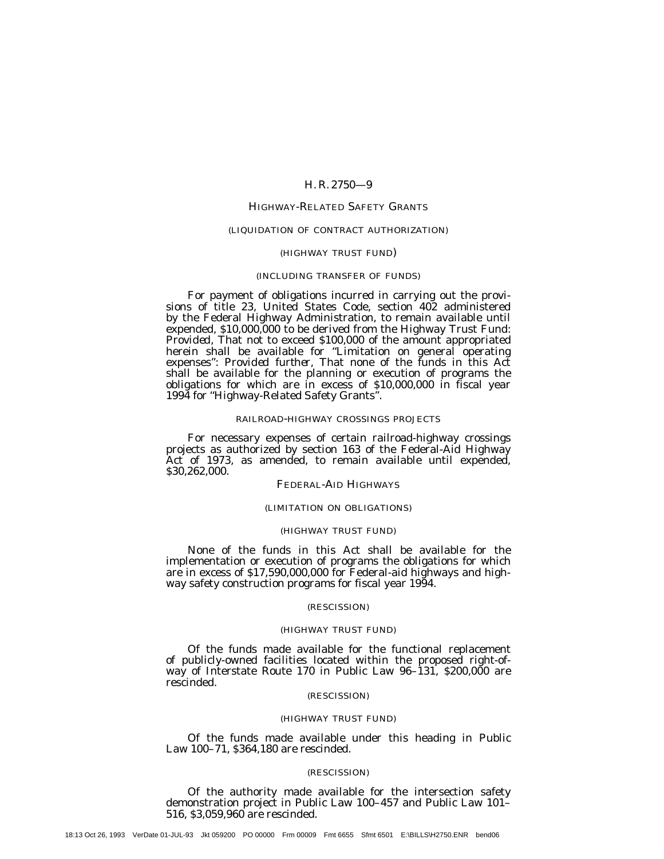## HIGHWAY-RELATED SAFETY GRANTS

#### (LIQUIDATION OF CONTRACT AUTHORIZATION)

#### (HIGHWAY TRUST FUND)

#### (INCLUDING TRANSFER OF FUNDS)

For payment of obligations incurred in carrying out the provisions of title 23, United States Code, section 402 administered by the Federal Highway Administration, to remain available until expended, \$10,000,000 to be derived from the Highway Trust Fund: *Provided,* That not to exceed \$100,000 of the amount appropriated herein shall be available for ''Limitation on general operating expenses'': *Provided further,* That none of the funds in this Act shall be available for the planning or execution of programs the obligations for which are in excess of \$10,000,000 in fiscal year 1994 for ''Highway-Related Safety Grants''.

#### RAILROAD-HIGHWAY CROSSINGS PROJECTS

For necessary expenses of certain railroad-highway crossings projects as authorized by section 163 of the Federal-Aid Highway Act of 1973, as amended, to remain available until expended, \$30,262,000.

## FEDERAL-AID HIGHWAYS

#### (LIMITATION ON OBLIGATIONS)

## (HIGHWAY TRUST FUND)

None of the funds in this Act shall be available for the implementation or execution of programs the obligations for which are in excess of \$17,590,000,000 for Federal-aid highways and highway safety construction programs for fiscal year 1994.

## (RESCISSION)

#### (HIGHWAY TRUST FUND)

Of the funds made available for the functional replacement of publicly-owned facilities located within the proposed right-ofway of Interstate Route 170 in Public Law 96–131, \$200,000 are rescinded.

#### (RESCISSION)

#### (HIGHWAY TRUST FUND)

Of the funds made available under this heading in Public Law 100–71, \$364,180 are rescinded.

#### (RESCISSION)

Of the authority made available for the intersection safety demonstration project in Public Law 100–457 and Public Law 101– 516, \$3,059,960 are rescinded.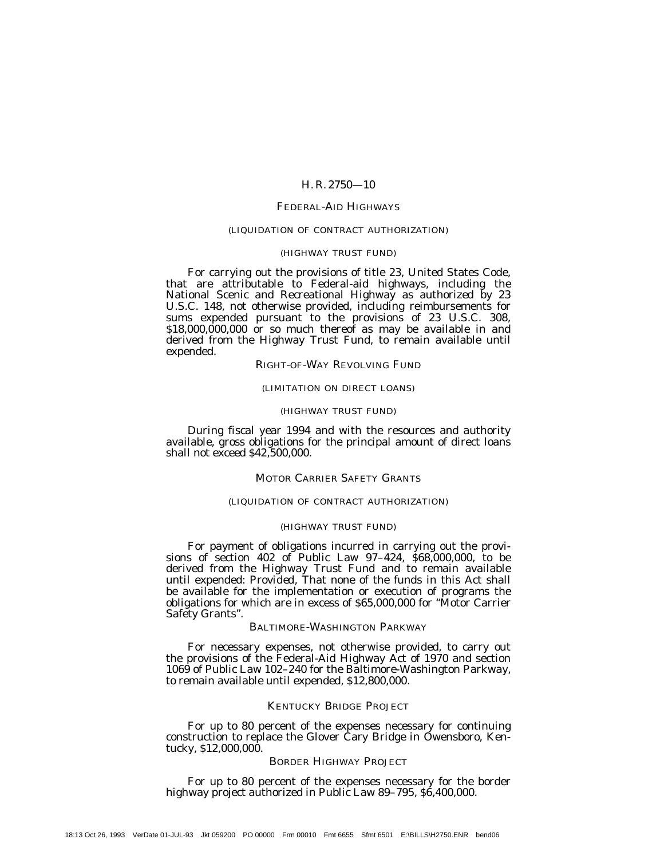## FEDERAL-AID HIGHWAYS

## (LIQUIDATION OF CONTRACT AUTHORIZATION)

#### (HIGHWAY TRUST FUND)

For carrying out the provisions of title 23, United States Code, that are attributable to Federal-aid highways, including the National Scenic and Recreational Highway as authorized by 23 U.S.C. 148, not otherwise provided, including reimbursements for sums expended pursuant to the provisions of 23 U.S.C. 308,  $$18,000,000,000$  or so much thereof as may be available in and derived from the Highway Trust Fund, to remain available until expended.

RIGHT-OF-WAY REVOLVING FUND

## (LIMITATION ON DIRECT LOANS)

#### (HIGHWAY TRUST FUND)

During fiscal year 1994 and with the resources and authority available, gross obligations for the principal amount of direct loans shall not exceed \$42,500,000.

## MOTOR CARRIER SAFETY GRANTS

## (LIQUIDATION OF CONTRACT AUTHORIZATION)

#### (HIGHWAY TRUST FUND)

For payment of obligations incurred in carrying out the provisions of section  $402$  of Public Law  $97-424$ ,  $$68,000,000$ , to be derived from the Highway Trust Fund and to remain available until expended: *Provided,* That none of the funds in this Act shall be available for the implementation or execution of programs the obligations for which are in excess of \$65,000,000 for ''Motor Carrier Safety Grants''.

#### BALTIMORE-WASHINGTON PARKWAY

For necessary expenses, not otherwise provided, to carry out the provisions of the Federal-Aid Highway Act of 1970 and section 1069 of Public Law 102–240 for the Baltimore-Washington Parkway, to remain available until expended, \$12,800,000.

#### KENTUCKY BRIDGE PROJECT

For up to 80 percent of the expenses necessary for continuing construction to replace the Glover Cary Bridge in Owensboro, Kentucky, \$12,000,000.

#### BORDER HIGHWAY PROJECT

For up to 80 percent of the expenses necessary for the border highway project authorized in Public Law 89-795, \$6,400,000.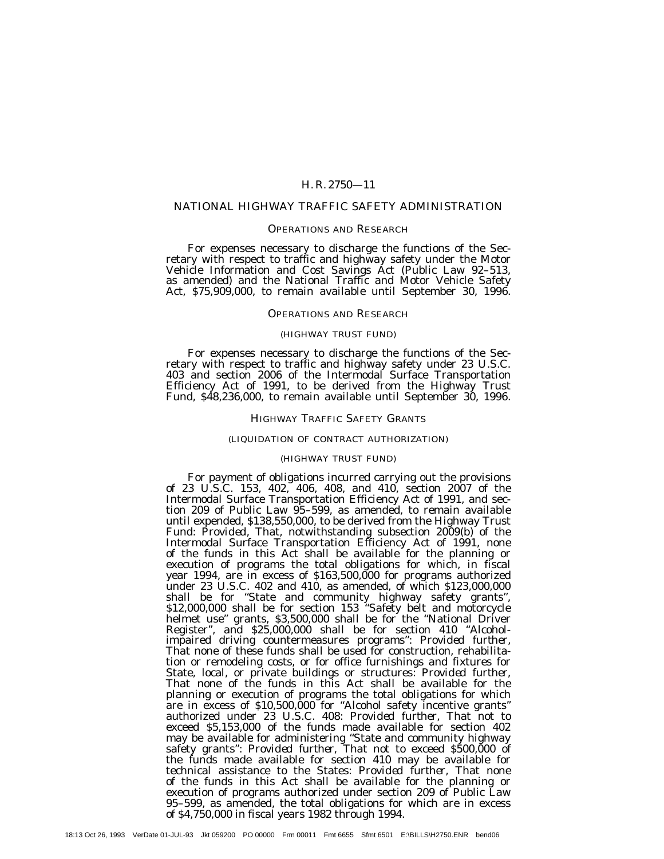#### NATIONAL HIGHWAY TRAFFIC SAFETY ADMINISTRATION

#### OPERATIONS AND RESEARCH

For expenses necessary to discharge the functions of the Secretary with respect to traffic and highway safety under the Motor Vehicle Information and Cost Savings Act (Public Law 92–513, as amended) and the National Traffic and Motor Vehicle Safety Act, \$75,909,000, to remain available until September 30, 1996.

#### OPERATIONS AND RESEARCH

#### (HIGHWAY TRUST FUND)

For expenses necessary to discharge the functions of the Secretary with respect to traffic and highway safety under 23 U.S.C. 403 and section 2006 of the Intermodal Surface Transportation Efficiency Act of 1991, to be derived from the Highway Trust Fund, \$48,236,000, to remain available until September 30, 1996.

#### HIGHWAY TRAFFIC SAFETY GRANTS

#### (LIQUIDATION OF CONTRACT AUTHORIZATION)

#### (HIGHWAY TRUST FUND)

For payment of obligations incurred carrying out the provisions of 23 U.S.C. 153, 402, 406, 408, and 410, section 2007 of the Intermodal Surface Transportation Efficiency Act of 1991, and section 209 of Public Law 95–599, as amended, to remain available until expended, \$138,550,000, to be derived from the Highway Trust Fund: *Provided,* That, notwithstanding subsection 2009(b) of the Intermodal Surface Transportation Efficiency Act of 1991, none of the funds in this Act shall be available for the planning or execution of programs the total obligations for which, in fiscal year 1994, are in excess of \$163,500,000 for programs authorized under 23 U.S.C. 402 and 410, as amended, of which \$123,000,000 shall be for ''State and community highway safety grants'', \$12,000,000 shall be for section 153 ''Safety belt and motorcycle helmet use'' grants, \$3,500,000 shall be for the ''National Driver Register'', and \$25,000,000 shall be for section 410 ''Alcoholimpaired driving countermeasures programs'': *Provided further,* That none of these funds shall be used for construction, rehabilitation or remodeling costs, or for office furnishings and fixtures for State, local, or private buildings or structures: *Provided further,* That none of the funds in this Act shall be available for the planning or execution of programs the total obligations for which are in excess of \$10,500,000 for ''Alcohol safety incentive grants'' authorized under 23 U.S.C. 408: *Provided further,* That not to exceed \$5,153,000 of the funds made available for section 402 may be available for administering ''State and community highway safety grants'': *Provided further,* That not to exceed \$500,000 of the funds made available for section 410 may be available for technical assistance to the States: *Provided further,* That none of the funds in this Act shall be available for the planning or execution of programs authorized under section 209 of Public Law 95–599, as amended, the total obligations for which are in excess of \$4,750,000 in fiscal years 1982 through 1994.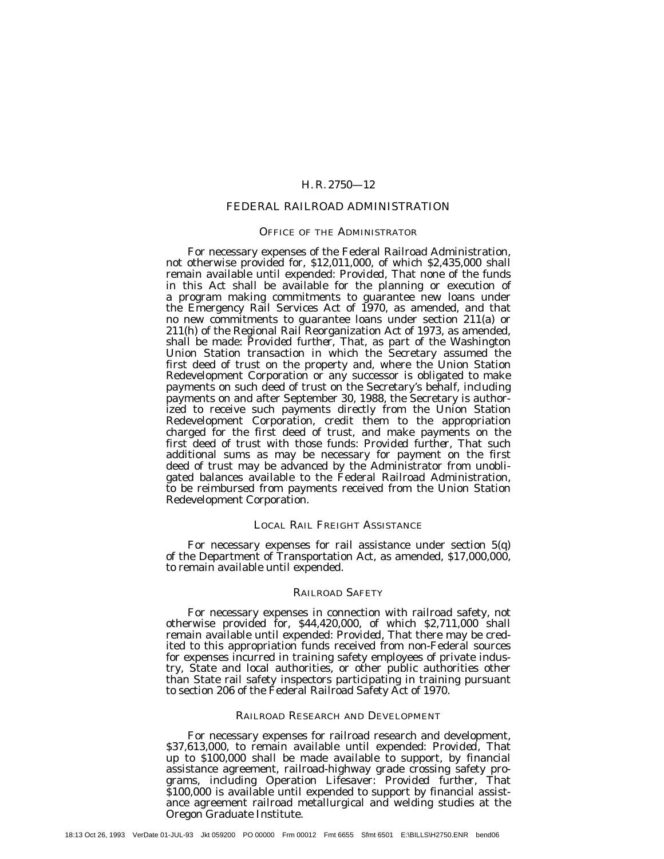## FEDERAL RAILROAD ADMINISTRATION

## OFFICE OF THE ADMINISTRATOR

For necessary expenses of the Federal Railroad Administration, not otherwise provided for, \$12,011,000, of which \$2,435,000 shall remain available until expended: *Provided,* That none of the funds in this Act shall be available for the planning or execution of a program making commitments to guarantee new loans under the Emergency Rail Services Act of 1970, as amended, and that no new commitments to guarantee loans under section 211(a) or 211(h) of the Regional Rail Reorganization Act of 1973, as amended, shall be made: *Provided further,* That, as part of the Washington Union Station transaction in which the Secretary assumed the first deed of trust on the property and, where the Union Station Redevelopment Corporation or any successor is obligated to make payments on such deed of trust on the Secretary's behalf, including payments on and after September 30, 1988, the Secretary is authorized to receive such payments directly from the Union Station Redevelopment Corporation, credit them to the appropriation charged for the first deed of trust, and make payments on the first deed of trust with those funds: *Provided further,* That such additional sums as may be necessary for payment on the first deed of trust may be advanced by the Administrator from unobligated balances available to the Federal Railroad Administration, to be reimbursed from payments received from the Union Station Redevelopment Corporation.

## LOCAL RAIL FREIGHT ASSISTANCE

For necessary expenses for rail assistance under section 5(q) of the Department of Transportation Act, as amended, \$17,000,000, to remain available until expended.

#### RAILROAD SAFETY

For necessary expenses in connection with railroad safety, not otherwise provided for, \$44,420,000, of which \$2,711,000 shall remain available until expended: *Provided,* That there may be credited to this appropriation funds received from non-Federal sources for expenses incurred in training safety employees of private industry, State and local authorities, or other public authorities other than State rail safety inspectors participating in training pursuant to section 206 of the Federal Railroad Safety Act of 1970.

#### RAILROAD RESEARCH AND DEVELOPMENT

For necessary expenses for railroad research and development, \$37,613,000, to remain available until expended: *Provided,* That up to \$100,000 shall be made available to support, by financial assistance agreement, railroad-highway grade crossing safety programs, including Operation Lifesaver: *Provided further,* That \$100,000 is available until expended to support by financial assistance agreement railroad metallurgical and welding studies at the Oregon Graduate Institute.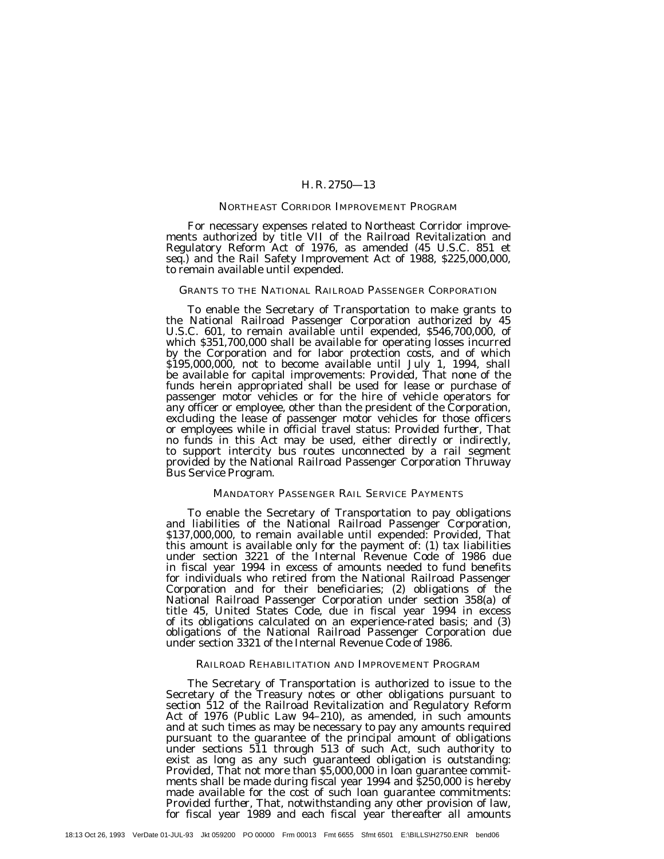## NORTHEAST CORRIDOR IMPROVEMENT PROGRAM

For necessary expenses related to Northeast Corridor improvements authorized by title VII of the Railroad Revitalization and Regulatory Reform Act of 1976, as amended (45 U.S.C. 851 et seq.) and the Rail Safety Improvement Act of 1988, \$225,000,000, to remain available until expended.

#### GRANTS TO THE NATIONAL RAILROAD PASSENGER CORPORATION

To enable the Secretary of Transportation to make grants to the National Railroad Passenger Corporation authorized by 45 U.S.C. 601, to remain available until expended, \$546,700,000, of which \$351,700,000 shall be available for operating losses incurred by the Corporation and for labor protection costs, and of which \$195,000,000, not to become available until July 1, 1994, shall be available for capital improvements: *Provided,* That none of the funds herein appropriated shall be used for lease or purchase of passenger motor vehicles or for the hire of vehicle operators for any officer or employee, other than the president of the Corporation, excluding the lease of passenger motor vehicles for those officers or employees while in official travel status: *Provided further,* That no funds in this Act may be used, either directly or indirectly, to support intercity bus routes unconnected by a rail segment provided by the National Railroad Passenger Corporation Thruway Bus Service Program.

#### MANDATORY PASSENGER RAIL SERVICE PAYMENTS

To enable the Secretary of Transportation to pay obligations and liabilities of the National Railroad Passenger Corporation, \$137,000,000, to remain available until expended: *Provided*, That this amount is available only for the payment of: (1) tax liabilities under section 3221 of the Internal Revenue Code of 1986 due in fiscal year 1994 in excess of amounts needed to fund benefits for individuals who retired from the National Railroad Passenger Corporation and for their beneficiaries; (2) obligations of the National Railroad Passenger Corporation under section 358(a) of title 45, United States Code, due in fiscal year 1994 in excess of its obligations calculated on an experience-rated basis; and (3) obligations of the National Railroad Passenger Corporation due under section 3321 of the Internal Revenue Code of 1986.

#### RAILROAD REHABILITATION AND IMPROVEMENT PROGRAM

The Secretary of Transportation is authorized to issue to the Secretary of the Treasury notes or other obligations pursuant to section 512 of the Railroad Revitalization and Regulatory Reform Act of 1976 (Public Law 94-210), as amended, in such amounts and at such times as may be necessary to pay any amounts required pursuant to the guarantee of the principal amount of obligations under sections 511 through 513 of such Act, such authority to exist as long as any such guaranteed obligation is outstanding: *Provided,* That not more than \$5,000,000 in loan guarantee commitments shall be made during fiscal year 1994 and \$250,000 is hereby made available for the cost of such loan guarantee commitments: *Provided further,* That, notwithstanding any other provision of law, for fiscal year 1989 and each fiscal year thereafter all amounts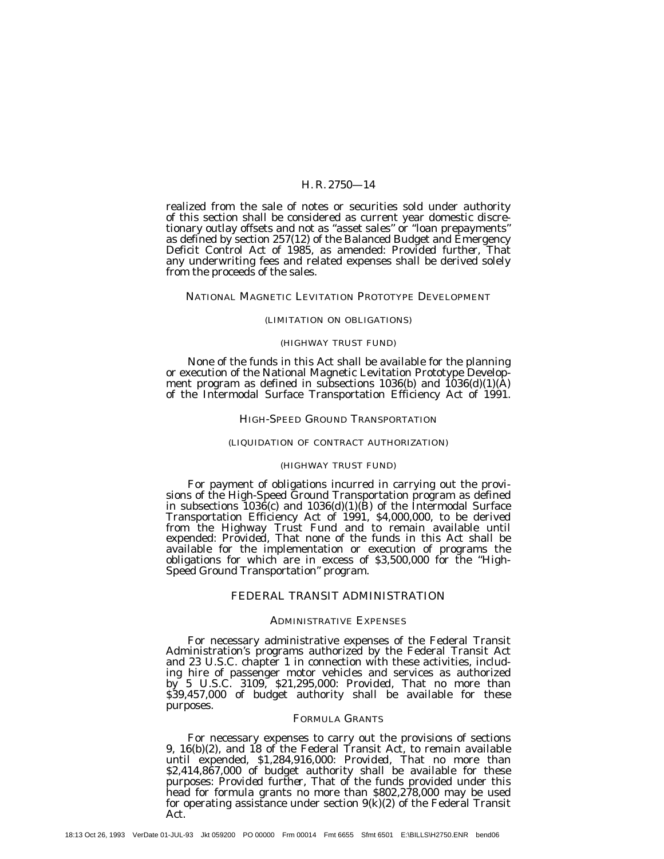realized from the sale of notes or securities sold under authority of this section shall be considered as current year domestic discretionary outlay offsets and not as ''asset sales'' or ''loan prepayments'' as defined by section 257(12) of the Balanced Budget and Emergency Deficit Control Act of 1985, as amended: *Provided further,* That any underwriting fees and related expenses shall be derived solely from the proceeds of the sales.

#### NATIONAL MAGNETIC LEVITATION PROTOTYPE DEVELOPMENT

#### (LIMITATION ON OBLIGATIONS)

#### (HIGHWAY TRUST FUND)

None of the funds in this Act shall be available for the planning or execution of the National Magnetic Levitation Prototype Development program as defined in subsections 1036(b) and 1036(d)(1)(A) of the Intermodal Surface Transportation Efficiency Act of 1991.

#### HIGH-SPEED GROUND TRANSPORTATION

#### (LIQUIDATION OF CONTRACT AUTHORIZATION)

## (HIGHWAY TRUST FUND)

For payment of obligations incurred in carrying out the provisions of the High-Speed Ground Transportation program as defined in subsections  $1036(c)$  and  $1036(d)(1)(B)$  of the Intermodal Surface Transportation Efficiency Act of 1991, \$4,000,000, to be derived from the Highway Trust Fund and to remain available until expended: *Provided,* That none of the funds in this Act shall be available for the implementation or execution of programs the obligations for which are in excess of \$3,500,000 for the ''High-Speed Ground Transportation'' program.

## FEDERAL TRANSIT ADMINISTRATION

#### ADMINISTRATIVE EXPENSES

For necessary administrative expenses of the Federal Transit Administration's programs authorized by the Federal Transit Act and 23 U.S.C. chapter 1 in connection with these activities, including hire of passenger motor vehicles and services as authorized by 5 U.S.C. 3109, \$21,295,000: *Provided,* That no more than \$39,457,000 of budget authority shall be available for these purposes.

#### FORMULA GRANTS

For necessary expenses to carry out the provisions of sections 9, 16(b)(2), and 18 of the Federal Transit Act, to remain available until expended, \$1,284,916,000: *Provided,* That no more than \$2,414,867,000 of budget authority shall be available for these purposes: *Provided further,* That of the funds provided under this head for formula grants no more than \$802,278,000 may be used for operating assistance under section  $9(k)(2)$  of the Federal Transit Act.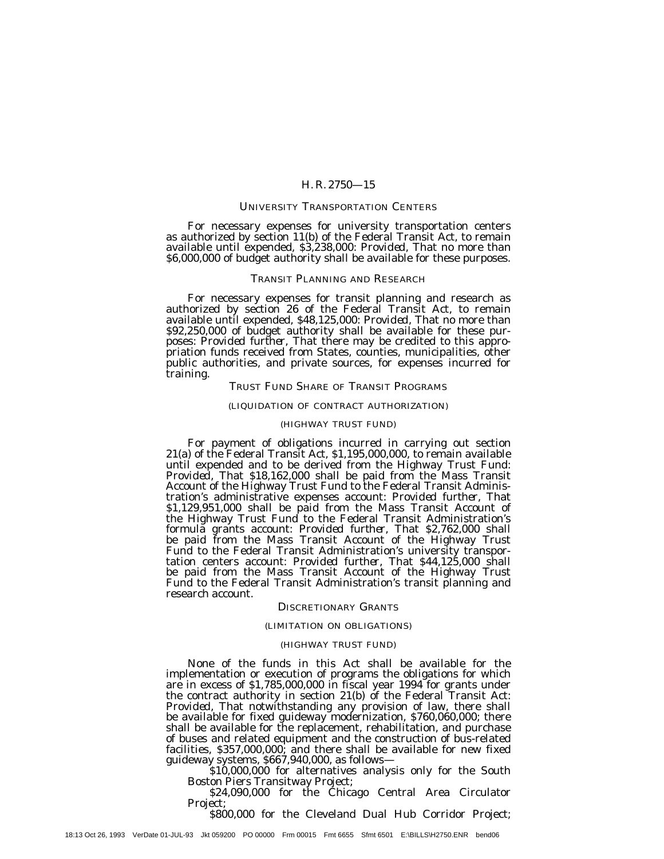#### UNIVERSITY TRANSPORTATION CENTERS

For necessary expenses for university transportation centers as authorized by section 11(b) of the Federal Transit Act, to remain available until expended, \$3,238,000: *Provided,* That no more than \$6,000,000 of budget authority shall be available for these purposes.

#### TRANSIT PLANNING AND RESEARCH

For necessary expenses for transit planning and research as authorized by section 26 of the Federal Transit Act, to remain available until expended, \$48,125,000: *Provided,* That no more than \$92,250,000 of budget authority shall be available for these purposes: *Provided further*, That there may be credited to this appro-<br>priation funds received from States, counties, municipalities, other public authorities, and private sources, for expenses incurred for training.

## TRUST FUND SHARE OF TRANSIT PROGRAMS

#### (LIQUIDATION OF CONTRACT AUTHORIZATION)

#### (HIGHWAY TRUST FUND)

For payment of obligations incurred in carrying out section 21(a) of the Federal Transit Act, \$1,195,000,000, to remain available until expended and to be derived from the Highway Trust Fund: *Provided,* That \$18,162,000 shall be paid from the Mass Transit Account of the Highway Trust Fund to the Federal Transit Administration's administrative expenses account: *Provided further,* That \$1,129,951,000 shall be paid from the Mass Transit Account of the Highway Trust Fund to the Federal Transit Administration's formula grants account: *Provided further,* That \$2,762,000 shall be paid from the Mass Transit Account of the Highway Trust Fund to the Federal Transit Administration's university transportation centers account: *Provided further,* That \$44,125,000 shall be paid from the Mass Transit Account of the Highway Trust Fund to the Federal Transit Administration's transit planning and research account.

#### DISCRETIONARY GRANTS

#### (LIMITATION ON OBLIGATIONS)

#### (HIGHWAY TRUST FUND)

None of the funds in this Act shall be available for the implementation or execution of programs the obligations for which are in excess of \$1,785,000,000 in fiscal year 1994 for grants under the contract authority in section 21(b) of the Federal Transit Act: *Provided,* That notwithstanding any provision of law, there shall be available for fixed guideway modernization, \$760,060,000; there shall be available for the replacement, rehabilitation, and purchase of buses and related equipment and the construction of bus-related facilities, \$357,000,000; and there shall be available for new fixed guideway systems, \$667,940,000, as follows— \$10,000,000 for alternatives analysis only for the South

Boston Piers Transitway Project; \$24,090,000 for the Chicago Central Area Circulator

Project;

\$800,000 for the Cleveland Dual Hub Corridor Project;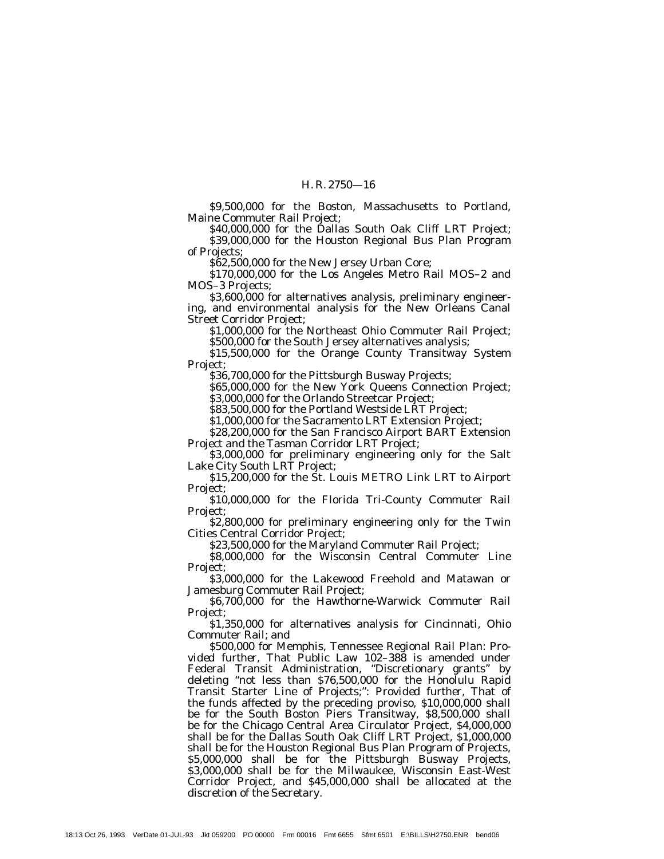\$9,500,000 for the Boston, Massachusetts to Portland, Maine Commuter Rail Project;

\$40,000,000 for the Dallas South Oak Cliff LRT Project; \$39,000,000 for the Houston Regional Bus Plan Program of Projects;

\$62,500,000 for the New Jersey Urban Core;

\$170,000,000 for the Los Angeles Metro Rail MOS–2 and MOS–3 Projects;

\$3,600,000 for alternatives analysis, preliminary engineering, and environmental analysis for the New Orleans Canal Street Corridor Project;

\$1,000,000 for the Northeast Ohio Commuter Rail Project; \$500,000 for the South Jersey alternatives analysis;

\$15,500,000 for the Orange County Transitway System

Project;

\$36,700,000 for the Pittsburgh Busway Projects;

\$65,000,000 for the New York Queens Connection Project; \$3,000,000 for the Orlando Streetcar Project;

\$83,500,000 for the Portland Westside LRT Project;

\$1,000,000 for the Sacramento LRT Extension Project;

\$28,200,000 for the San Francisco Airport BART Extension Project and the Tasman Corridor LRT Project;

\$3,000,000 for preliminary engineering only for the Salt Lake City South LRT Project;

\$15,200,000 for the St. Louis METRO Link LRT to Airport Project;

\$10,000,000 for the Florida Tri-County Commuter Rail Project;

\$2,800,000 for preliminary engineering only for the Twin Cities Central Corridor Project;

\$23,500,000 for the Maryland Commuter Rail Project;

\$8,000,000 for the Wisconsin Central Commuter Line Project;

\$3,000,000 for the Lakewood Freehold and Matawan or Jamesburg Commuter Rail Project;

\$6,700,000 for the Hawthorne-Warwick Commuter Rail Project;

\$1,350,000 for alternatives analysis for Cincinnati, Ohio Commuter Rail; and

\$500,000 for Memphis, Tennessee Regional Rail Plan: *Provided further,* That Public Law 102–388 is amended under Federal Transit Administration, "Discretionary grants" by deleting ''not less than \$76,500,000 for the Honolulu Rapid Transit Starter Line of Projects;'': *Provided further,* That of the funds affected by the preceding proviso, \$10,000,000 shall be for the South Boston Piers Transitway, \$8,500,000 shall be for the Chicago Central Area Circulator Project, \$4,000,000 shall be for the Dallas South Oak Cliff LRT Project, \$1,000,000 shall be for the Houston Regional Bus Plan Program of Projects, \$5,000,000 shall be for the Pittsburgh Busway Projects, \$3,000,000 shall be for the Milwaukee, Wisconsin East-West Corridor Project, and \$45,000,000 shall be allocated at the discretion of the Secretary.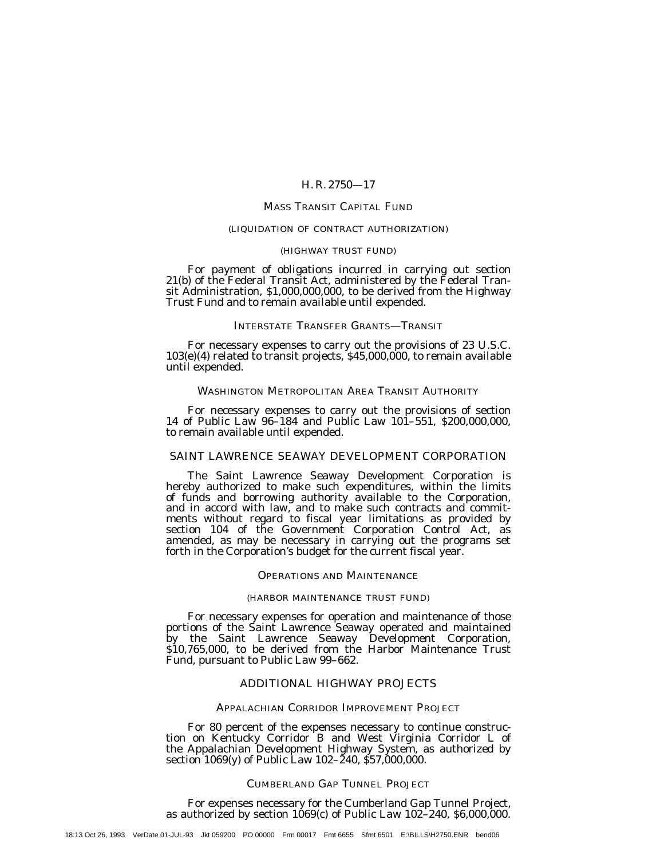## MASS TRANSIT CAPITAL FUND

#### (LIQUIDATION OF CONTRACT AUTHORIZATION)

#### (HIGHWAY TRUST FUND)

For payment of obligations incurred in carrying out section 21(b) of the Federal Transit Act, administered by the Federal Transit Administration, \$1,000,000,000, to be derived from the Highway Trust Fund and to remain available until expended.

#### INTERSTATE TRANSFER GRANTS—TRANSIT

For necessary expenses to carry out the provisions of 23 U.S.C. 103(e)(4) related to transit projects, \$45,000,000, to remain available until expended.

## WASHINGTON METROPOLITAN AREA TRANSIT AUTHORITY

For necessary expenses to carry out the provisions of section 14 of Public Law 96–184 and Public Law 101–551, \$200,000,000, to remain available until expended.

## SAINT LAWRENCE SEAWAY DEVELOPMENT CORPORATION

The Saint Lawrence Seaway Development Corporation is hereby authorized to make such expenditures, within the limits of funds and borrowing authority available to the Corporation, and in accord with law, and to make such contracts and commitments without regard to fiscal year limitations as provided by section 104 of the Government Corporation Control Act, as amended, as may be necessary in carrying out the programs set forth in the Corporation's budget for the current fiscal year.

#### OPERATIONS AND MAINTENANCE

#### (HARBOR MAINTENANCE TRUST FUND)

For necessary expenses for operation and maintenance of those portions of the Saint Lawrence Seaway operated and maintained by the Saint Lawrence Seaway Development Corporation, \$10,765,000, to be derived from the Harbor Maintenance Trust Fund, pursuant to Public Law 99–662.

#### ADDITIONAL HIGHWAY PROJECTS

#### APPALACHIAN CORRIDOR IMPROVEMENT PROJECT

For 80 percent of the expenses necessary to continue construction on Kentucky Corridor B and West Virginia Corridor L of the Appalachian Development Highway System, as authorized by section 1069(y) of Public Law 102–240, \$57,000,000.

#### CUMBERLAND GAP TUNNEL PROJECT

For expenses necessary for the Cumberland Gap Tunnel Project, as authorized by section  $1069(c)$  of Public Law  $102-240$ ,  $$6,000,000$ .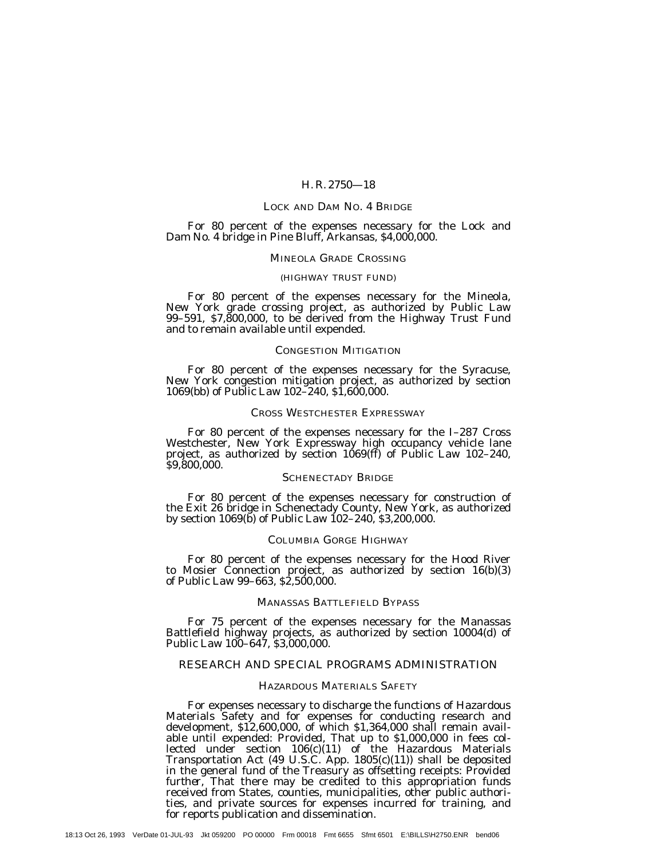#### LOCK AND DAM NO. 4 BRIDGE

For 80 percent of the expenses necessary for the Lock and Dam No. 4 bridge in Pine Bluff, Arkansas, \$4,000,000.

#### MINEOLA GRADE CROSSING

#### (HIGHWAY TRUST FUND)

For 80 percent of the expenses necessary for the Mineola, New York grade crossing project, as authorized by Public Law 99–591, \$7,800,000, to be derived from the Highway Trust Fund and to remain available until expended.

#### CONGESTION MITIGATION

For 80 percent of the expenses necessary for the Syracuse, New York congestion mitigation project, as authorized by section 1069(bb) of Public Law 102–240, \$1,600,000.

#### CROSS WESTCHESTER EXPRESSWAY

For 80 percent of the expenses necessary for the I–287 Cross Westchester, New York Expressway high occupancy vehicle lane project, as authorized by section 1069(ff) of Public Law 102–240, \$9,800,000.

## SCHENECTADY BRIDGE

For 80 percent of the expenses necessary for construction of the Exit 26 bridge in Schenectady County, New York, as authorized by section 1069(b) of Public Law 102–240, \$3,200,000.

#### COLUMBIA GORGE HIGHWAY

For 80 percent of the expenses necessary for the Hood River to Mosier Connection project, as authorized by section 16(b)(3) of Public Law 99–663, \$2,500,000.

## MANASSAS BATTLEFIELD BYPASS

For 75 percent of the expenses necessary for the Manassas Battlefield highway projects, as authorized by section 10004(d) of Public Law 100–647, \$3,000,000.

## RESEARCH AND SPECIAL PROGRAMS ADMINISTRATION

#### HAZARDOUS MATERIALS SAFETY

For expenses necessary to discharge the functions of Hazardous Materials Safety and for expenses for conducting research and development, \$12,600,000, of which \$1,364,000 shall remain available until expended: *Provided,* That up to \$1,000,000 in fees collected under section 106(c)(11) of the Hazardous Materials Transportation Act (49 U.S.C. App. 1805(c)(11)) shall be deposited in the general fund of the Treasury as offsetting receipts: *Provided further,* That there may be credited to this appropriation funds received from States, counties, municipalities, other public authorities, and private sources for expenses incurred for training, and for reports publication and dissemination.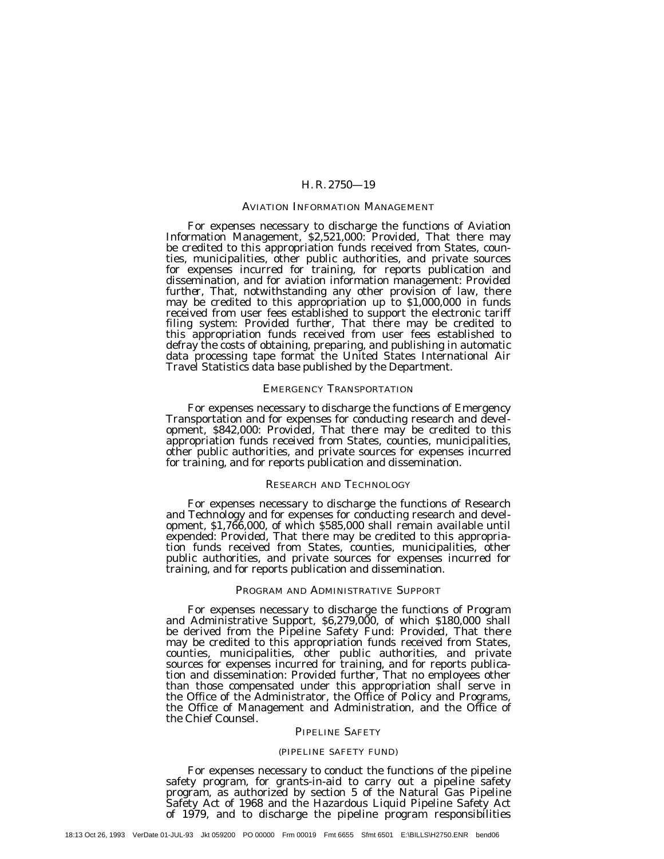#### AVIATION INFORMATION MANAGEMENT

For expenses necessary to discharge the functions of Aviation Information Management, \$2,521,000: *Provided,* That there may be credited to this appropriation funds received from States, counties, municipalities, other public authorities, and private sources for expenses incurred for training, for reports publication and dissemination, and for aviation information management: *Provided further,* That, notwithstanding any other provision of law, there may be credited to this appropriation up to \$1,000,000 in funds received from user fees established to support the electronic tariff filing system: Provided further, That there may be credited to this appropriation funds received from user fees established to defray the costs of obtaining, preparing, and publishing in automatic data processing tape format the United States International Air Travel Statistics data base published by the Department.

#### EMERGENCY TRANSPORTATION

For expenses necessary to discharge the functions of Emergency Transportation and for expenses for conducting research and development, \$842,000: *Provided,* That there may be credited to this appropriation funds received from States, counties, municipalities, other public authorities, and private sources for expenses incurred for training, and for reports publication and dissemination.

## RESEARCH AND TECHNOLOGY

For expenses necessary to discharge the functions of Research and Technology and for expenses for conducting research and development, \$1,766,000, of which \$585,000 shall remain available until expended: *Provided,* That there may be credited to this appropriation funds received from States, counties, municipalities, other public authorities, and private sources for expenses incurred for training, and for reports publication and dissemination.

## PROGRAM AND ADMINISTRATIVE SUPPORT

For expenses necessary to discharge the functions of Program and Administrative Support, \$6,279,000, of which \$180,000 shall be derived from the Pipeline Safety Fund: *Provided,* That there may be credited to this appropriation funds received from States, counties, municipalities, other public authorities, and private sources for expenses incurred for training, and for reports publication and dissemination: *Provided further,* That no employees other than those compensated under this appropriation shall serve in the Office of the Administrator, the Office of Policy and Programs, the Office of Management and Administration, and the Office of the Chief Counsel.

#### PIPELINE SAFETY

## (PIPELINE SAFETY FUND)

For expenses necessary to conduct the functions of the pipeline safety program, for grants-in-aid to carry out a pipeline safety program, as authorized by section 5 of the Natural Gas Pipeline Safety Act of 1968 and the Hazardous Liquid Pipeline Safety Act of 1979, and to discharge the pipeline program responsibilities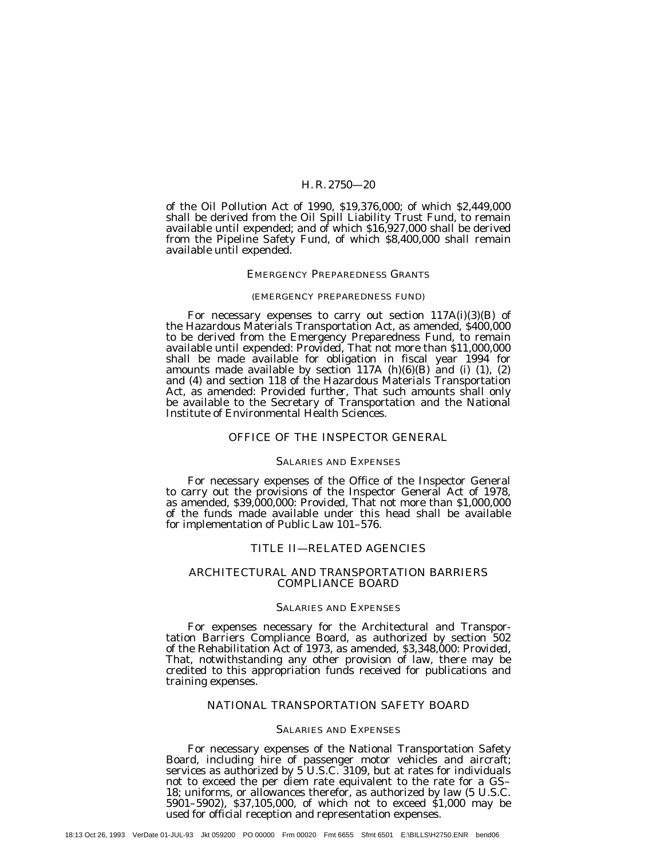of the Oil Pollution Act of 1990, \$19,376,000; of which \$2,449,000 shall be derived from the Oil Spill Liability Trust Fund, to remain available until expended; and of which \$16,927,000 shall be derived from the Pipeline Safety Fund, of which \$8,400,000 shall remain available until expended.

#### EMERGENCY PREPAREDNESS GRANTS

#### (EMERGENCY PREPAREDNESS FUND)

For necessary expenses to carry out section 117A(i)(3)(B) of the Hazardous Materials Transportation Act, as amended, \$400,000 to be derived from the Emergency Preparedness Fund, to remain available until expended: *Provided,* That not more than \$11,000,000 shall be made available for obligation in fiscal year 1994 for amounts made available by section 117A (h)(6)(B) and (i) (1), (2) and (4) and section 118 of the Hazardous Materials Transportation Act, as amended: *Provided further,* That such amounts shall only be available to the Secretary of Transportation and the National Institute of Environmental Health Sciences.

#### OFFICE OF THE INSPECTOR GENERAL

#### SALARIES AND EXPENSES

For necessary expenses of the Office of the Inspector General to carry out the provisions of the Inspector General Act of 1978, as amended, \$39,000,000: *Provided,* That not more than \$1,000,000 of the funds made available under this head shall be available for implementation of Public Law 101–576.

#### TITLE II—RELATED AGENCIES

#### ARCHITECTURAL AND TRANSPORTATION BARRIERS COMPLIANCE BOARD

## SALARIES AND EXPENSES

For expenses necessary for the Architectural and Transportation Barriers Compliance Board, as authorized by section 502 of the Rehabilitation Act of 1973, as amended, \$3,348,000: *Provided,* That, notwithstanding any other provision of law, there may be credited to this appropriation funds received for publications and training expenses.

## NATIONAL TRANSPORTATION SAFETY BOARD

#### SALARIES AND EXPENSES

For necessary expenses of the National Transportation Safety Board, including hire of passenger motor vehicles and aircraft; services as authorized by 5 U.S.C. 3109, but at rates for individuals not to exceed the per diem rate equivalent to the rate for a GS– 18; uniforms, or allowances therefor, as authorized by law (5 U.S.C. 5901–5902), \$37,105,000, of which not to exceed \$1,000 may be used for official reception and representation expenses.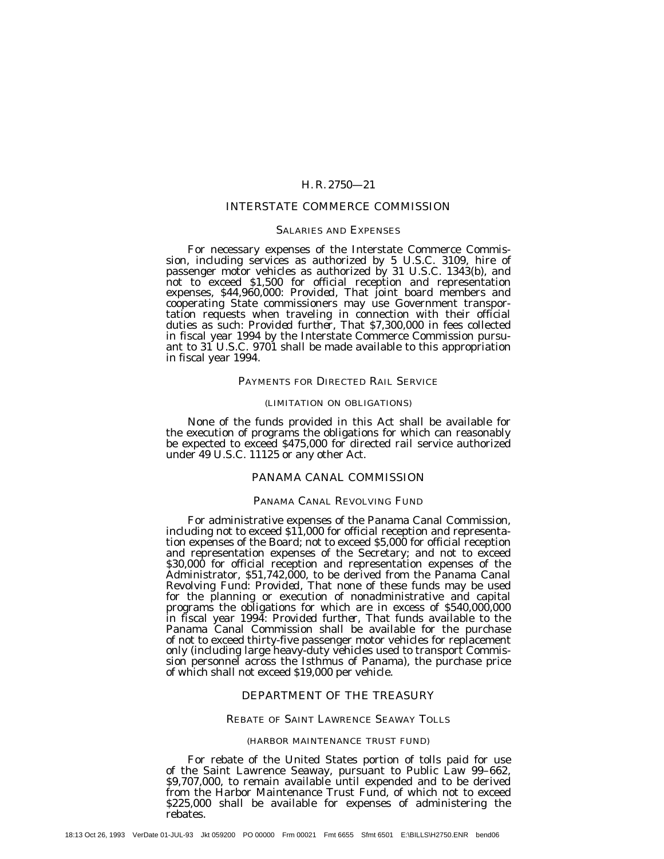## INTERSTATE COMMERCE COMMISSION

#### SALARIES AND EXPENSES

For necessary expenses of the Interstate Commerce Commission, including services as authorized by 5 U.S.C. 3109, hire of passenger motor vehicles as authorized by 31 U.S.C. 1343(b), and not to exceed \$1,500 for official reception and representation expenses, \$44,960,000: *Provided,* That joint board members and cooperating State commissioners may use Government transportation requests when traveling in connection with their official duties as such: *Provided further,* That \$7,300,000 in fees collected in fiscal year 1994 by the Interstate Commerce Commission pursuant to  $31$  U.S.C. 9701 shall be made available to this appropriation in fiscal year 1994.

#### PAYMENTS FOR DIRECTED RAIL SERVICE

#### (LIMITATION ON OBLIGATIONS)

None of the funds provided in this Act shall be available for the execution of programs the obligations for which can reasonably be expected to exceed \$475,000 for directed rail service authorized under 49 U.S.C. 11125 or any other Act.

## PANAMA CANAL COMMISSION

## PANAMA CANAL REVOLVING FUND

For administrative expenses of the Panama Canal Commission, including not to exceed \$11,000 for official reception and representation expenses of the Board; not to exceed \$5,000 for official reception and representation expenses of the Secretary; and not to exceed \$30,000 for official reception and representation expenses of the Administrator, \$51,742,000, to be derived from the Panama Canal Revolving Fund: *Provided*, That none of these funds may be used for the planning or execution of nonadministrative and capital programs the obligations for which are in excess of \$540,000,000 in fiscal year 1994: *Provided further,* That funds available to the Panama Canal Commission shall be available for the purchase of not to exceed thirty-five passenger motor vehicles for replacement only (including large heavy-duty vehicles used to transport Commission personnel across the Isthmus of Panama), the purchase price of which shall not exceed \$19,000 per vehicle.

#### DEPARTMENT OF THE TREASURY

#### REBATE OF SAINT LAWRENCE SEAWAY TOLLS

#### (HARBOR MAINTENANCE TRUST FUND)

For rebate of the United States portion of tolls paid for use of the Saint Lawrence Seaway, pursuant to Public Law 99–662, \$9,707,000, to remain available until expended and to be derived from the Harbor Maintenance Trust Fund, of which not to exceed \$225,000 shall be available for expenses of administering the rebates.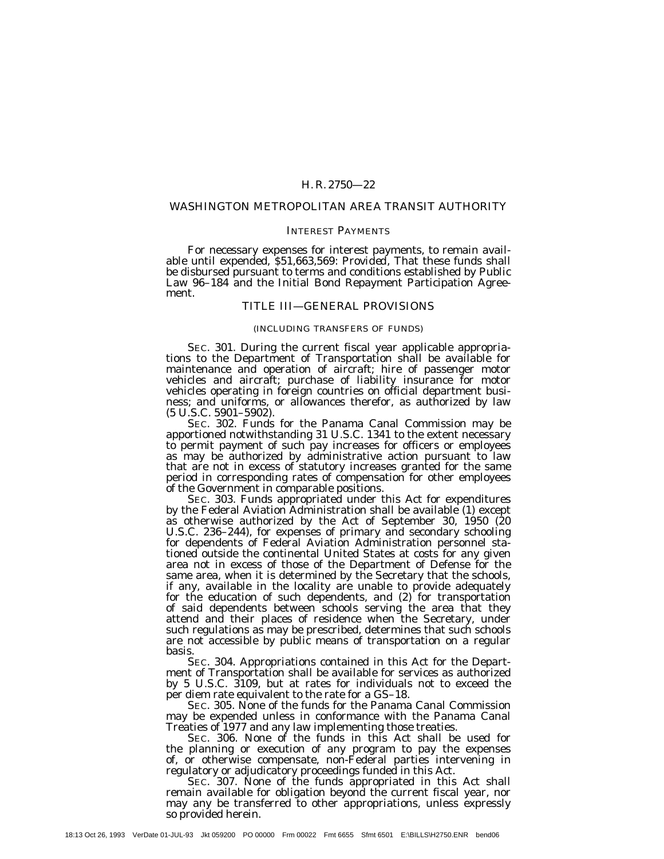#### WASHINGTON METROPOLITAN AREA TRANSIT AUTHORITY

#### INTEREST PAYMENTS

For necessary expenses for interest payments, to remain available until expended, \$51,663,569: *Provided,* That these funds shall be disbursed pursuant to terms and conditions established by Public Law 96–184 and the Initial Bond Repayment Participation Agreement.

## TITLE III—GENERAL PROVISIONS

#### (INCLUDING TRANSFERS OF FUNDS)

SEC. 301. During the current fiscal year applicable appropriations to the Department of Transportation shall be available for maintenance and operation of aircraft; hire of passenger motor vehicles and aircraft; purchase of liability insurance for motor vehicles operating in foreign countries on official department business; and uniforms, or allowances therefor, as authorized by law (5 U.S.C. 5901–5902).

SEC. 302. Funds for the Panama Canal Commission may be apportioned notwithstanding 31 U.S.C. 1341 to the extent necessary to permit payment of such pay increases for officers or employees as may be authorized by administrative action pursuant to law that are not in excess of statutory increases granted for the same period in corresponding rates of compensation for other employees of the Government in comparable positions.

SEC. 303. Funds appropriated under this Act for expenditures by the Federal Aviation Administration shall be available (1) except as otherwise authorized by the Act of September 30, 1950 (20 U.S.C. 236–244), for expenses of primary and secondary schooling for dependents of Federal Aviation Administration personnel stationed outside the continental United States at costs for any given area not in excess of those of the Department of Defense for the same area, when it is determined by the Secretary that the schools, if any, available in the locality are unable to provide adequately for the education of such dependents, and (2) for transportation of said dependents between schools serving the area that they attend and their places of residence when the Secretary, under such regulations as may be prescribed, determines that such schools are not accessible by public means of transportation on a regular basis.

SEC. 304. Appropriations contained in this Act for the Department of Transportation shall be available for services as authorized by 5 U.S.C. 3109, but at rates for individuals not to exceed the per diem rate equivalent to the rate for a GS–18.

SEC. 305. None of the funds for the Panama Canal Commission may be expended unless in conformance with the Panama Canal Treaties of 1977 and any law implementing those treaties.

SEC. 306. None of the funds in this Act shall be used for the planning or execution of any program to pay the expenses of, or otherwise compensate, non-Federal parties intervening in regulatory or adjudicatory proceedings funded in this Act.

SEC. 307. None of the funds appropriated in this Act shall remain available for obligation beyond the current fiscal year, nor may any be transferred to other appropriations, unless expressly so provided herein.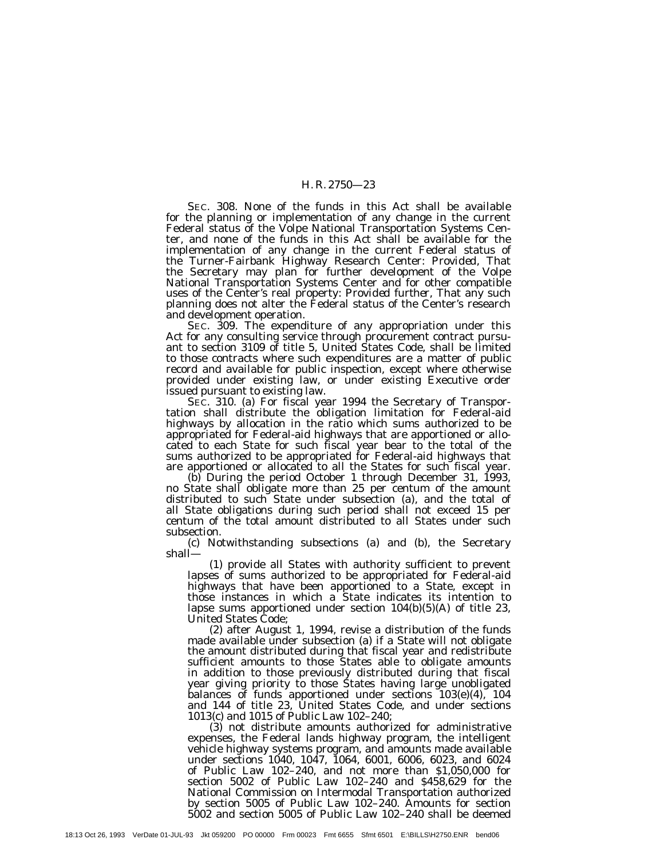SEC. 308. None of the funds in this Act shall be available for the planning or implementation of any change in the current Federal status of the Volpe National Transportation Systems Center, and none of the funds in this Act shall be available for the implementation of any change in the current Federal status of the Turner-Fairbank Highway Research Center: *Provided,* That the Secretary may plan for further development of the Volpe National Transportation Systems Center and for other compatible uses of the Center's real property: *Provided further,* That any such planning does not alter the Federal status of the Center's research and development operation.

SEC. 309. The expenditure of any appropriation under this Act for any consulting service through procurement contract pursuant to section 3109 of title 5, United States Code, shall be limited to those contracts where such expenditures are a matter of public record and available for public inspection, except where otherwise provided under existing law, or under existing Executive order issued pursuant to existing law.

SEC. 310. (a) For fiscal year 1994 the Secretary of Transportation shall distribute the obligation limitation for Federal-aid highways by allocation in the ratio which sums authorized to be appropriated for Federal-aid highways that are apportioned or allocated to each State for such fiscal year bear to the total of the sums authorized to be appropriated for Federal-aid highways that are apportioned or allocated to all the States for such fiscal year.

(b) During the period October 1 through December 31, 1993, no State shall obligate more than 25 per centum of the amount distributed to such State under subsection (a), and the total of all State obligations during such period shall not exceed 15 per centum of the total amount distributed to all States under such subsection.

(c) Notwithstanding subsections (a) and (b), the Secretary shall—

(1) provide all States with authority sufficient to prevent lapses of sums authorized to be appropriated for Federal-aid highways that have been apportioned to a State, except in those instances in which a State indicates its intention to lapse sums apportioned under section 104(b)(5)(A) of title 23,

United States Code;<br>(2) after August 1, 1994, revise a distribution of the funds (2) after August 1, 1994, revise a distribution of the funds made available under subsection (a) if a State will not obligate the amount distributed during that fiscal year and redistribute sufficient amounts to those States able to obligate amounts in addition to those previously distributed during that fiscal year giving priority to those States having large unobligated balances of funds apportioned under sections 103(e)(4), 104 and 144 of title 23, United States Code, and under sections 1013(c) and 1015 of Public Law 102–240;

(3) not distribute amounts authorized for administrative expenses, the Federal lands highway program, the intelligent vehicle highway systems program, and amounts made available under sections 1040, 1047, 1064, 6001, 6006, 6023, and 6024 of Public Law 102–240, and not more than \$1,050,000 for section 5002 of Public Law 102–240 and \$458,629 for the National Commission on Intermodal Transportation authorized by section 5005 of Public Law 102–240. Amounts for section 5002 and section 5005 of Public Law 102–240 shall be deemed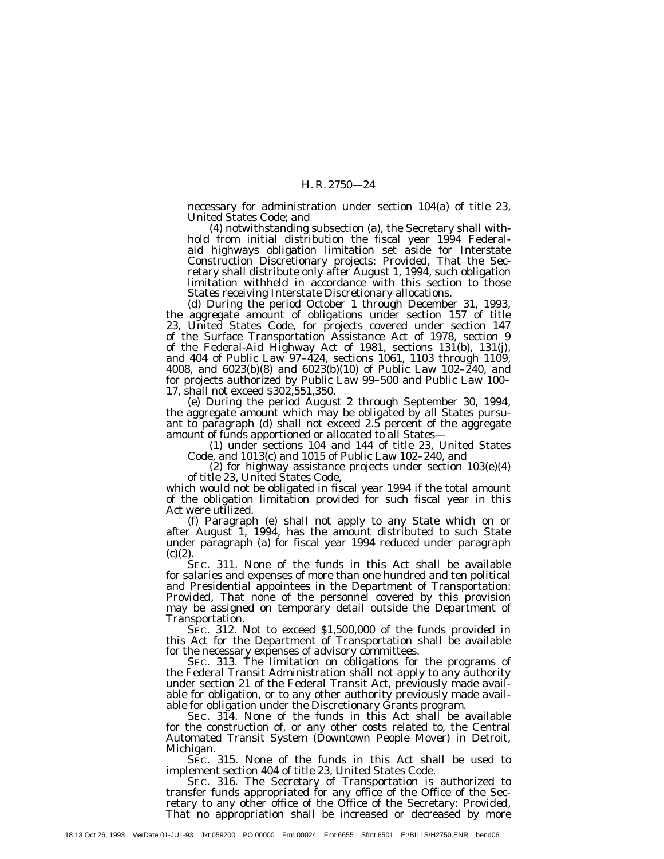necessary for administration under section 104(a) of title 23, United States Code; and

(4) notwithstanding subsection (a), the Secretary shall withhold from initial distribution the fiscal year 1994 Federalaid highways obligation limitation set aside for Interstate Construction Discretionary projects: *Provided,* That the Secretary shall distribute only after August 1, 1994, such obligation limitation withheld in accordance with this section to those States receiving Interstate Discretionary allocations.

(d) During the period October 1 through December 31, 1993, the aggregate amount of obligations under section 157 of title 23, United States Code, for projects covered under section 147 of the Surface Transportation Assistance Act of 1978, section 9 of the Federal-Aid Highway Act of 1981, sections 131(b), 131(j), and 404 of Public Law 97–424, sections 1061, 1103 through 1109, 4008, and 6023(b)(8) and 6023(b)(10) of Public Law 102–240, and for projects authorized by Public Law 99–500 and Public Law 100– 17, shall not exceed \$302,551,350.

(e) During the period August 2 through September 30, 1994, the aggregate amount which may be obligated by all States pursuant to paragraph (d) shall not exceed 2.5 percent of the aggregate amount of funds apportioned or allocated to all States—

(1) under sections 104 and 144 of title 23, United States Code, and 1013(c) and 1015 of Public Law 102–240, and

(2) for highway assistance projects under section 103(e)(4) of title 23, United States Code,

which would not be obligated in fiscal year 1994 if the total amount of the obligation limitation provided for such fiscal year in this Act were utilized.

(f) Paragraph (e) shall not apply to any State which on or after August 1, 1994, has the amount distributed to such State under paragraph (a) for fiscal year 1994 reduced under paragraph  $(c)(2)$ 

SEC. 311. None of the funds in this Act shall be available for salaries and expenses of more than one hundred and ten political and Presidential appointees in the Department of Transportation: *Provided*, That none of the personnel covered by this provision may be assigned on temporary detail outside the Department of Transportation.

SEC. 312. Not to exceed \$1,500,000 of the funds provided in this Act for the Department of Transportation shall be available for the necessary expenses of advisory committees.

SEC. 313. The limitation on obligations for the programs of the Federal Transit Administration shall not apply to any authority under section 21 of the Federal Transit Act, previously made available for obligation, or to any other authority previously made available for obligation under the Discretionary Grants program.

SEC. 314. None of the funds in this Act shall be available for the construction of, or any other costs related to, the Central Automated Transit System (Downtown People Mover) in Detroit, Michigan.

SEC. 315. None of the funds in this Act shall be used to implement section 404 of title 23, United States Code.

SEC. 316. The Secretary of Transportation is authorized to transfer funds appropriated for any office of the Office of the Secretary to any other office of the Office of the Secretary: *Provided,* That no appropriation shall be increased or decreased by more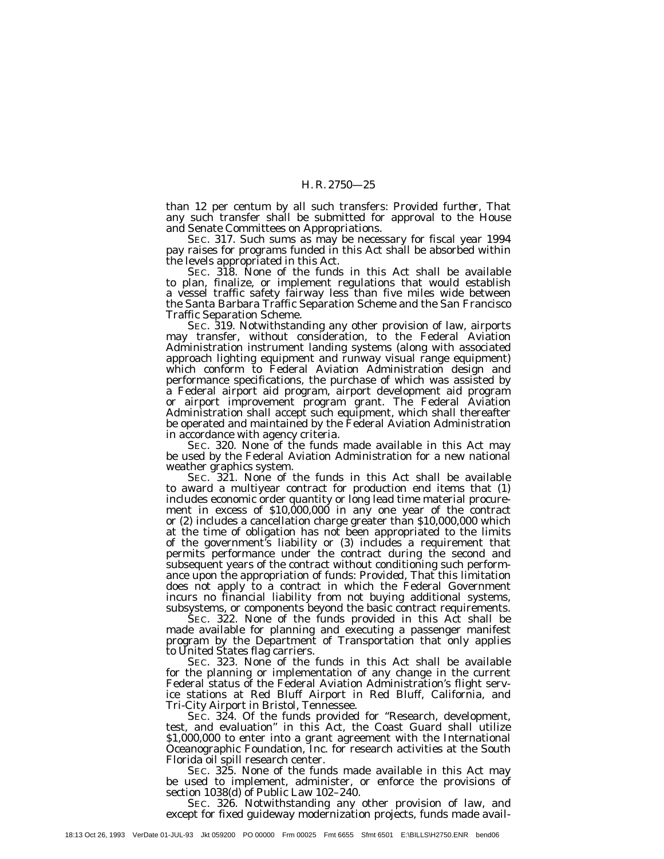than 12 per centum by all such transfers: *Provided further,* That any such transfer shall be submitted for approval to the House and Senate Committees on Appropriations.

SEC. 317. Such sums as may be necessary for fiscal year 1994 pay raises for programs funded in this Act shall be absorbed within the levels appropriated in this Act.

SEC. 318. None of the funds in this Act shall be available to plan, finalize, or implement regulations that would establish a vessel traffic safety fairway less than five miles wide between the Santa Barbara Traffic Separation Scheme and the San Francisco Traffic Separation Scheme.

SEC. 319. Notwithstanding any other provision of law, airports may transfer, without consideration, to the Federal Aviation Administration instrument landing systems (along with associated approach lighting equipment and runway visual range equipment) which conform to Federal Aviation Administration design and performance specifications, the purchase of which was assisted by a Federal airport aid program, airport development aid program or airport improvement program grant. The Federal Aviation Administration shall accept such equipment, which shall thereafter be operated and maintained by the Federal Aviation Administration in accordance with agency criteria.

SEC. 320. None of the funds made available in this Act may be used by the Federal Aviation Administration for a new national weather graphics system.

SEC. 321. None of the funds in this Act shall be available to award a multiyear contract for production end items that (1) includes economic order quantity or long lead time material procurement in excess of \$10,000,000 in any one year of the contract or (2) includes a cancellation charge greater than \$10,000,000 which at the time of obligation has not been appropriated to the limits of the government's liability or (3) includes a requirement that permits performance under the contract during the second and subsequent years of the contract without conditioning such performance upon the appropriation of funds: *Provided,* That this limitation does not apply to a contract in which the Federal Government incurs no financial liability from not buying additional systems, subsystems, or components beyond the basic contract requirements.

SEC. 322. None of the funds provided in this Act shall be made available for planning and executing a passenger manifest program by the Department of Transportation that only applies to United States flag carriers.

SEC. 323. None of the funds in this Act shall be available for the planning or implementation of any change in the current Federal status of the Federal Aviation Administration's flight service stations at Red Bluff Airport in Red Bluff, California, and Tri-City Airport in Bristol, Tennessee.

SEC. 324. Of the funds provided for ''Research, development, test, and evaluation'' in this Act, the Coast Guard shall utilize \$1,000,000 to enter into a grant agreement with the International Oceanographic Foundation, Inc. for research activities at the South Florida oil spill research center.

SEC. 325. None of the funds made available in this Act may be used to implement, administer, or enforce the provisions of section 1038(d) of Public Law 102–240.

SEC. 326. Notwithstanding any other provision of law, and except for fixed guideway modernization projects, funds made avail-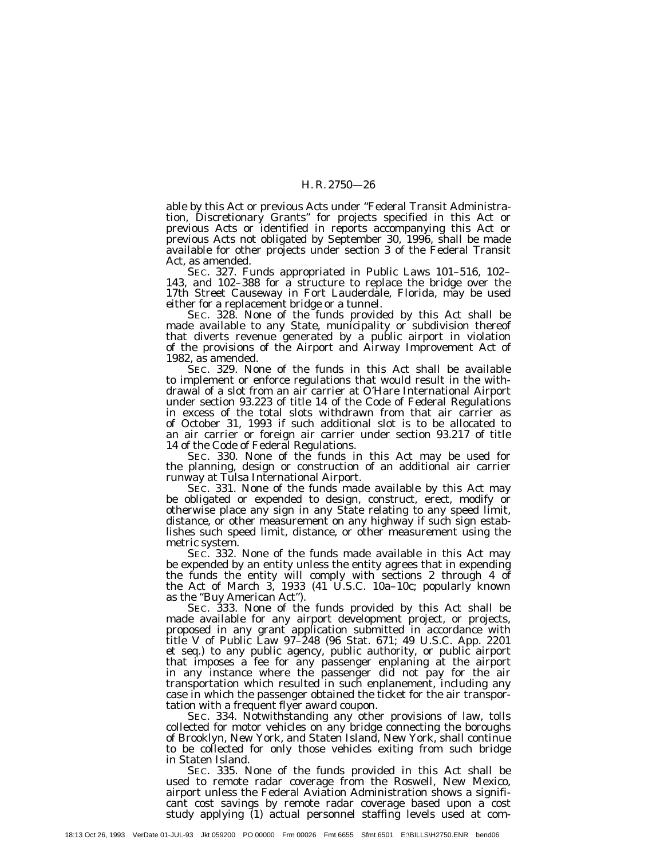able by this Act or previous Acts under ''Federal Transit Administration, Discretionary Grants'' for projects specified in this Act or previous Acts or identified in reports accompanying this Act or previous Acts not obligated by September 30, 1996, shall be made available for other projects under section 3 of the Federal Transit Act, as amended.

SEC. 327. Funds appropriated in Public Laws 101–516, 102– 143, and 102–388 for a structure to replace the bridge over the 17th Street Causeway in Fort Lauderdale, Florida, may be used either for a replacement bridge or a tunnel.

SEC. 328. None of the funds provided by this Act shall be made available to any State, municipality or subdivision thereof that diverts revenue generated by a public airport in violation of the provisions of the Airport and Airway Improvement Act of 1982, as amended.

SEC. 329. None of the funds in this Act shall be available to implement or enforce regulations that would result in the withdrawal of a slot from an air carrier at O'Hare International Airport under section 93.223 of title 14 of the Code of Federal Regulations in excess of the total slots withdrawn from that air carrier as of October 31, 1993 if such additional slot is to be allocated to an air carrier or foreign air carrier under section 93.217 of title 14 of the Code of Federal Regulations.

SEC. 330. None of the funds in this Act may be used for the planning, design or construction of an additional air carrier runway at Tulsa International Airport.

SEC. 331. None of the funds made available by this Act may be obligated or expended to design, construct, erect, modify or otherwise place any sign in any State relating to any speed limit, distance, or other measurement on any highway if such sign establishes such speed limit, distance, or other measurement using the metric system.

SEC. 332. None of the funds made available in this Act may be expended by an entity unless the entity agrees that in expending the funds the entity will comply with sections 2 through 4 of the Act of March 3, 1933 (41 U.S.C. 10a–10c; popularly known as the ''Buy American Act'').

SEC. 333. None of the funds provided by this Act shall be made available for any airport development project, or projects, proposed in any grant application submitted in accordance with title V of Public Law 97–248 (96 Stat. 671; 49 U.S.C. App. 2201 et seq.) to any public agency, public authority, or public airport that imposes a fee for any passenger enplaning at the airport in any instance where the passenger did not pay for the air transportation which resulted in such enplanement, including any case in which the passenger obtained the ticket for the air transportation with a frequent flyer award coupon.

SEC. 334. Notwithstanding any other provisions of law, tolls collected for motor vehicles on any bridge connecting the boroughs of Brooklyn, New York, and Staten Island, New York, shall continue to be collected for only those vehicles exiting from such bridge in Staten Island.

SEC. 335. None of the funds provided in this Act shall be used to remote radar coverage from the Roswell, New Mexico, airport unless the Federal Aviation Administration shows a significant cost savings by remote radar coverage based upon a cost study applying (1) actual personnel staffing levels used at com-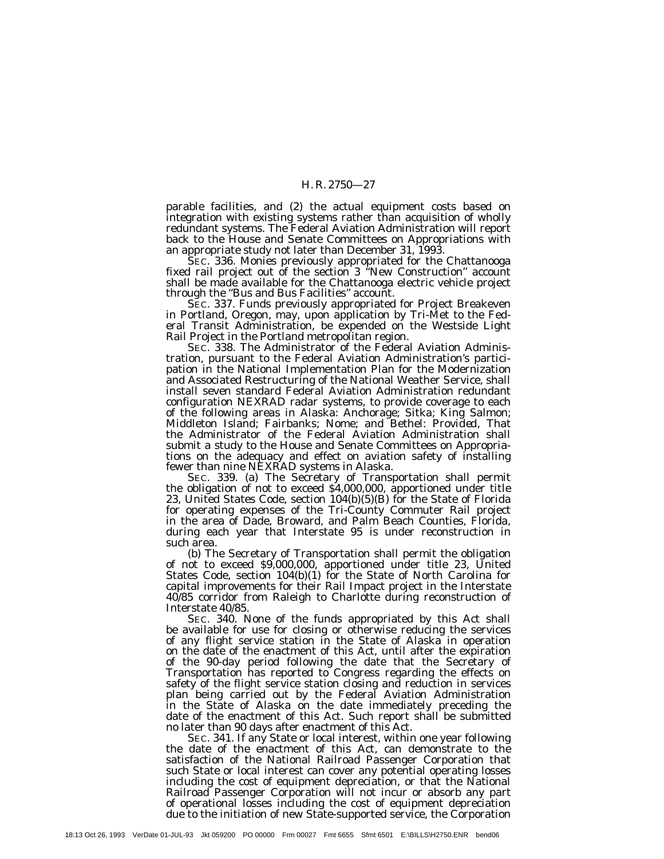parable facilities, and (2) the actual equipment costs based on integration with existing systems rather than acquisition of wholly redundant systems. The Federal Aviation Administration will report back to the House and Senate Committees on Appropriations with an appropriate study not later than December 31, 1993.

SEC. 336. Monies previously appropriated for the Chattanooga fixed rail project out of the section 3 ''New Construction'' account shall be made available for the Chattanooga electric vehicle project through the ''Bus and Bus Facilities'' account.

SEC. 337. Funds previously appropriated for Project Breakeven in Portland, Oregon, may, upon application by Tri-Met to the Federal Transit Administration, be expended on the Westside Light Rail Project in the Portland metropolitan region.

SEC. 338. The Administrator of the Federal Aviation Administration, pursuant to the Federal Aviation Administration's participation in the National Implementation Plan for the Modernization and Associated Restructuring of the National Weather Service, shall install seven standard Federal Aviation Administration redundant configuration NEXRAD radar systems, to provide coverage to each of the following areas in Alaska: Anchorage; Sitka; King Salmon; Middleton Island; Fairbanks; Nome; and Bethel: *Provided,* That the Administrator of the Federal Aviation Administration shall submit a study to the House and Senate Committees on Appropriations on the adequacy and effect on aviation safety of installing fewer than nine NEXRAD systems in Alaska.

SEC. 339. (a) The Secretary of Transportation shall permit the obligation of not to exceed \$4,000,000, apportioned under title 23, United States Code, section 104(b)(5)(B) for the State of Florida for operating expenses of the Tri-County Commuter Rail project in the area of Dade, Broward, and Palm Beach Counties, Florida, during each year that Interstate 95 is under reconstruction in such area.

(b) The Secretary of Transportation shall permit the obligation of not to exceed \$9,000,000, apportioned under title 23, United States Code, section 104(b)(1) for the State of North Carolina for capital improvements for their Rail Impact project in the Interstate 40/85 corridor from Raleigh to Charlotte during reconstruction of Interstate 40/85.

SEC. 340. None of the funds appropriated by this Act shall be available for use for closing or otherwise reducing the services of any flight service station in the State of Alaska in operation on the date of the enactment of this Act, until after the expiration of the 90-day period following the date that the Secretary of Transportation has reported to Congress regarding the effects on safety of the flight service station closing and reduction in services plan being carried out by the Federal Aviation Administration in the State of Alaska on the date immediately preceding the date of the enactment of this Act. Such report shall be submitted no later than 90 days after enactment of this Act.

SEC. 341. If any State or local interest, within one year following the date of the enactment of this Act, can demonstrate to the satisfaction of the National Railroad Passenger Corporation that such State or local interest can cover any potential operating losses including the cost of equipment depreciation, or that the National Railroad Passenger Corporation will not incur or absorb any part of operational losses including the cost of equipment depreciation due to the initiation of new State-supported service, the Corporation